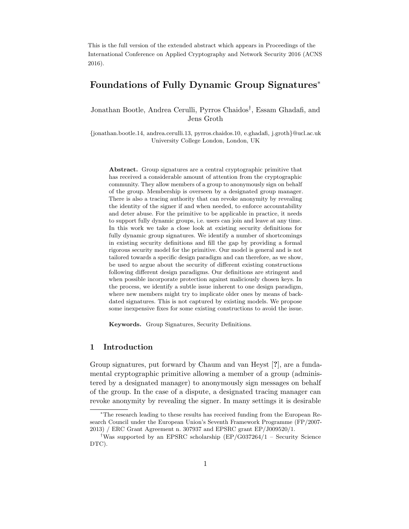This is the full version of the extended abstract which appears in Proceedings of the International Conference on Applied Cryptography and Network Security 2016 (ACNS 2016).

# Foundations of Fully Dynamic Group Signatures<sup>∗</sup>

Jonathan Bootle, Andrea Cerulli, Pyrros Chaidos† , Essam Ghadafi, and Jens Groth

{jonathan.bootle.14, andrea.cerulli.13, pyrros.chaidos.10, e.ghadafi, j.groth}@ucl.ac.uk University College London, London, UK

Abstract. Group signatures are a central cryptographic primitive that has received a considerable amount of attention from the cryptographic community. They allow members of a group to anonymously sign on behalf of the group. Membership is overseen by a designated group manager. There is also a tracing authority that can revoke anonymity by revealing the identity of the signer if and when needed, to enforce accountability and deter abuse. For the primitive to be applicable in practice, it needs to support fully dynamic groups, i.e. users can join and leave at any time. In this work we take a close look at existing security definitions for fully dynamic group signatures. We identify a number of shortcomings in existing security definitions and fill the gap by providing a formal rigorous security model for the primitive. Our model is general and is not tailored towards a specific design paradigm and can therefore, as we show, be used to argue about the security of different existing constructions following different design paradigms. Our definitions are stringent and when possible incorporate protection against maliciously chosen keys. In the process, we identify a subtle issue inherent to one design paradigm, where new members might try to implicate older ones by means of backdated signatures. This is not captured by existing models. We propose some inexpensive fixes for some existing constructions to avoid the issue.

Keywords. Group Signatures, Security Definitions.

### 1 Introduction

Group signatures, put forward by Chaum and van Heyst [?], are a fundamental cryptographic primitive allowing a member of a group (administered by a designated manager) to anonymously sign messages on behalf of the group. In the case of a dispute, a designated tracing manager can revoke anonymity by revealing the signer. In many settings it is desirable

<sup>∗</sup>The research leading to these results has received funding from the European Research Council under the European Union's Seventh Framework Programme (FP/2007- 2013) / ERC Grant Agreement n. 307937 and EPSRC grant EP/J009520/1.

<sup>&</sup>lt;sup>†</sup>Was supported by an EPSRC scholarship  $(EP/G037264/1 -$  Security Science DTC).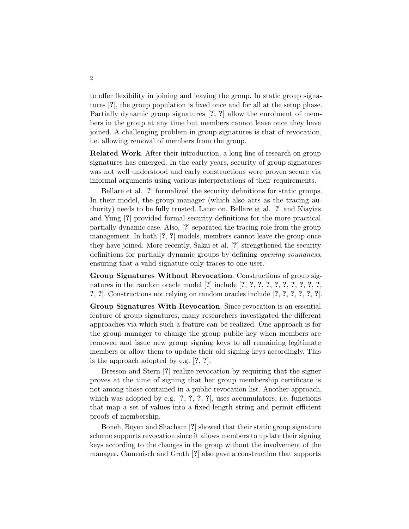to offer flexibility in joining and leaving the group. In static group signatures [?], the group population is fixed once and for all at the setup phase. Partially dynamic group signatures [?, ?] allow the enrolment of members in the group at any time but members cannot leave once they have joined. A challenging problem in group signatures is that of revocation, i.e. allowing removal of members from the group.

Related Work. After their introduction, a long line of research on group signatures has emerged. In the early years, security of group signatures was not well understood and early constructions were proven secure via informal arguments using various interpretations of their requirements.

Bellare et al. [?] formalized the security definitions for static groups. In their model, the group manager (which also acts as the tracing authority) needs to be fully trusted. Later on, Bellare et al. [?] and Kiayias and Yung [?] provided formal security definitions for the more practical partially dynamic case. Also, [?] separated the tracing role from the group management. In both [?, ?] models, members cannot leave the group once they have joined. More recently, Sakai et al. [?] strengthened the security definitions for partially dynamic groups by defining opening soundness, ensuring that a valid signature only traces to one user.

Group Signatures Without Revocation. Constructions of group signatures in the random oracle model [?] include [?, ?, ?, ?, ?, ?, ?, ?, ?, ?, ?, ?, ?, ?]. Constructions not relying on random oracles include [?, ?, ?, ?, ?, ?].

Group Signatures With Revocation. Since revocation is an essential feature of group signatures, many researchers investigated the different approaches via which such a feature can be realized. One approach is for the group manager to change the group public key when members are removed and issue new group signing keys to all remaining legitimate members or allow them to update their old signing keys accordingly. This is the approach adopted by e.g. [?, ?].

Bresson and Stern [?] realize revocation by requiring that the signer proves at the time of signing that her group membership certificate is not among those contained in a public revocation list. Another approach, which was adopted by e.g.  $[?,?,?,?,']$ , uses accumulators, i.e. functions that map a set of values into a fixed-length string and permit efficient proofs of membership.

Boneh, Boyen and Shacham [?] showed that their static group signature scheme supports revocation since it allows members to update their signing keys according to the changes in the group without the involvement of the manager. Camenisch and Groth [?] also gave a construction that supports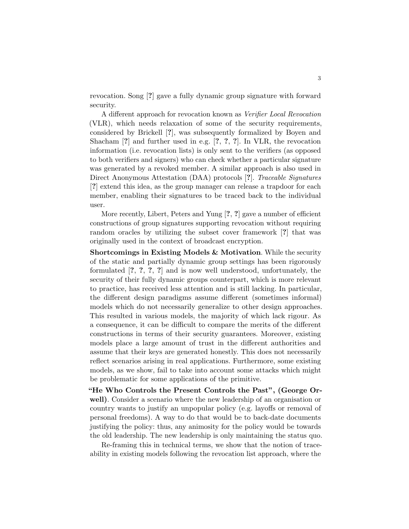revocation. Song [?] gave a fully dynamic group signature with forward security.

A different approach for revocation known as Verifier Local Revocation (VLR), which needs relaxation of some of the security requirements, considered by Brickell [?], was subsequently formalized by Boyen and Shacham [?] and further used in e.g. [?, ?, ?]. In VLR, the revocation information (i.e. revocation lists) is only sent to the verifiers (as opposed to both verifiers and signers) who can check whether a particular signature was generated by a revoked member. A similar approach is also used in Direct Anonymous Attestation (DAA) protocols [?]. Traceable Signatures [?] extend this idea, as the group manager can release a trapdoor for each member, enabling their signatures to be traced back to the individual user.

More recently, Libert, Peters and Yung [?, ?] gave a number of efficient constructions of group signatures supporting revocation without requiring random oracles by utilizing the subset cover framework [?] that was originally used in the context of broadcast encryption.

Shortcomings in Existing Models & Motivation. While the security of the static and partially dynamic group settings has been rigorously formulated [?, ?, ?, ?] and is now well understood, unfortunately, the security of their fully dynamic groups counterpart, which is more relevant to practice, has received less attention and is still lacking. In particular, the different design paradigms assume different (sometimes informal) models which do not necessarily generalize to other design approaches. This resulted in various models, the majority of which lack rigour. As a consequence, it can be difficult to compare the merits of the different constructions in terms of their security guarantees. Moreover, existing models place a large amount of trust in the different authorities and assume that their keys are generated honestly. This does not necessarily reflect scenarios arising in real applications. Furthermore, some existing models, as we show, fail to take into account some attacks which might be problematic for some applications of the primitive.

"He Who Controls the Present Controls the Past", (George Orwell). Consider a scenario where the new leadership of an organisation or country wants to justify an unpopular policy (e.g. layoffs or removal of personal freedoms). A way to do that would be to back-date documents justifying the policy: thus, any animosity for the policy would be towards the old leadership. The new leadership is only maintaining the status quo.

Re-framing this in technical terms, we show that the notion of traceability in existing models following the revocation list approach, where the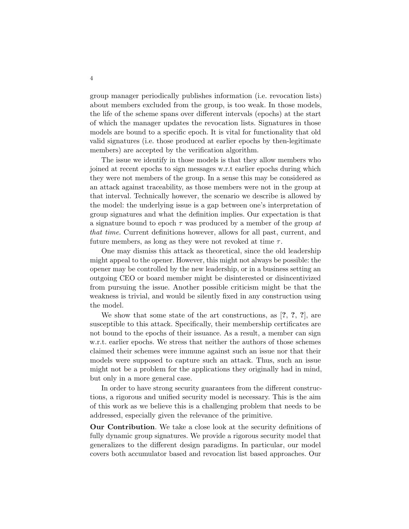group manager periodically publishes information (i.e. revocation lists) about members excluded from the group, is too weak. In those models, the life of the scheme spans over different intervals (epochs) at the start of which the manager updates the revocation lists. Signatures in those models are bound to a specific epoch. It is vital for functionality that old valid signatures (i.e. those produced at earlier epochs by then-legitimate members) are accepted by the verification algorithm.

The issue we identify in those models is that they allow members who joined at recent epochs to sign messages w.r.t earlier epochs during which they were not members of the group. In a sense this may be considered as an attack against traceability, as those members were not in the group at that interval. Technically however, the scenario we describe is allowed by the model: the underlying issue is a gap between one's interpretation of group signatures and what the definition implies. Our expectation is that a signature bound to epoch  $\tau$  was produced by a member of the group at that time. Current definitions however, allows for all past, current, and future members, as long as they were not revoked at time  $\tau$ .

One may dismiss this attack as theoretical, since the old leadership might appeal to the opener. However, this might not always be possible: the opener may be controlled by the new leadership, or in a business setting an outgoing CEO or board member might be disinterested or disincentivized from pursuing the issue. Another possible criticism might be that the weakness is trivial, and would be silently fixed in any construction using the model.

We show that some state of the art constructions, as [?, ?, ?], are susceptible to this attack. Specifically, their membership certificates are not bound to the epochs of their issuance. As a result, a member can sign w.r.t. earlier epochs. We stress that neither the authors of those schemes claimed their schemes were immune against such an issue nor that their models were supposed to capture such an attack. Thus, such an issue might not be a problem for the applications they originally had in mind, but only in a more general case.

In order to have strong security guarantees from the different constructions, a rigorous and unified security model is necessary. This is the aim of this work as we believe this is a challenging problem that needs to be addressed, especially given the relevance of the primitive.

Our Contribution. We take a close look at the security definitions of fully dynamic group signatures. We provide a rigorous security model that generalizes to the different design paradigms. In particular, our model covers both accumulator based and revocation list based approaches. Our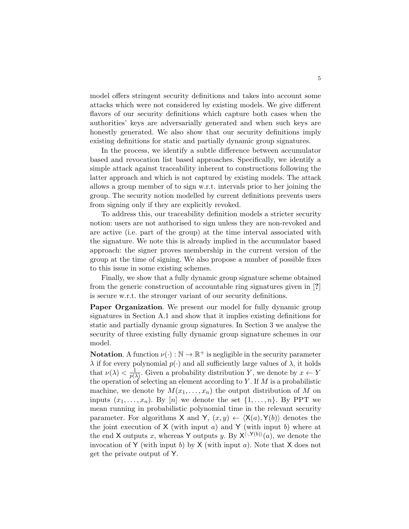model offers stringent security definitions and takes into account some attacks which were not considered by existing models. We give different flavors of our security definitions which capture both cases when the authorities' keys are adversarially generated and when such keys are honestly generated. We also show that our security definitions imply existing definitions for static and partially dynamic group signatures.

In the process, we identify a subtle difference between accumulator based and revocation list based approaches. Specifically, we identify a simple attack against traceability inherent to constructions following the latter approach and which is not captured by existing models. The attack allows a group member of to sign w.r.t. intervals prior to her joining the group. The security notion modelled by current definitions prevents users from signing only if they are explicitly revoked.

To address this, our traceability definition models a stricter security notion: users are not authorised to sign unless they are non-revoked and are active (i.e. part of the group) at the time interval associated with the signature. We note this is already implied in the accumulator based approach: the signer proves membership in the current version of the group at the time of signing. We also propose a number of possible fixes to this issue in some existing schemes.

Finally, we show that a fully dynamic group signature scheme obtained from the generic construction of accountable ring signatures given in [?] is secure w.r.t. the stronger variant of our security definitions.

Paper Organization. We present our model for fully dynamic group signatures in Section A.1 and show that it implies existing definitions for static and partially dynamic group signatures. In Section 3 we analyse the security of three existing fully dynamic group signature schemes in our model.

**Notation**. A function  $\nu(\cdot): \mathbb{N} \to \mathbb{R}^+$  is negligible in the security parameter  $\lambda$  if for every polynomial  $p(\cdot)$  and all sufficiently large values of  $\lambda$ , it holds that  $\nu(\lambda) < \frac{1}{n^{\alpha}}$  $\frac{1}{p(\lambda)}$ . Given a probability distribution Y, we denote by  $x \leftarrow Y$ the operation of selecting an element according to Y. If  $M$  is a probabilistic machine, we denote by  $M(x_1, \ldots, x_n)$  the output distribution of M on inputs  $(x_1, \ldots, x_n)$ . By  $[n]$  we denote the set  $\{1, \ldots, n\}$ . By PPT we mean running in probabilistic polynomial time in the relevant security parameter. For algorithms X and Y,  $(x, y) \leftarrow \langle X(a), Y(b) \rangle$  denotes the the joint execution of  $X$  (with input a) and  $Y$  (with input b) where at the end X outputs x, whereas Y outputs y. By  $\mathsf{X}^{\langle \cdot,\mathsf{Y}(b)\rangle}(a)$ , we denote the invocation of Y (with input b) by X (with input a). Note that X does not get the private output of Y.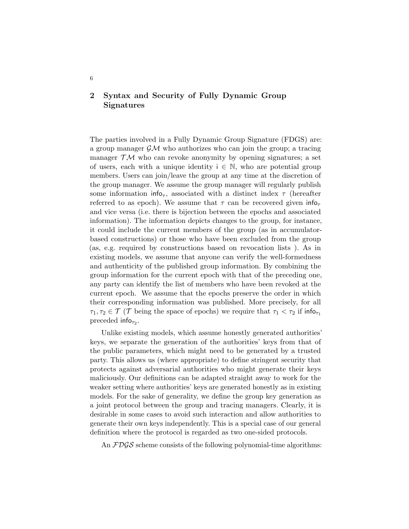# 2 Syntax and Security of Fully Dynamic Group Signatures

The parties involved in a Fully Dynamic Group Signature (FDGS) are: a group manager  $\mathcal{G}M$  who authorizes who can join the group; a tracing manager  $TM$  who can revoke anonymity by opening signatures; a set of users, each with a unique identity  $i \in \mathbb{N}$ , who are potential group members. Users can join/leave the group at any time at the discretion of the group manager. We assume the group manager will regularly publish some information info<sub>τ</sub>, associated with a distinct index  $\tau$  (hereafter referred to as epoch). We assume that  $\tau$  can be recovered given info<sub> $\tau$ </sub> and vice versa (i.e. there is bijection between the epochs and associated information). The information depicts changes to the group, for instance, it could include the current members of the group (as in accumulatorbased constructions) or those who have been excluded from the group (as, e.g. required by constructions based on revocation lists ). As in existing models, we assume that anyone can verify the well-formedness and authenticity of the published group information. By combining the group information for the current epoch with that of the preceding one, any party can identify the list of members who have been revoked at the current epoch. We assume that the epochs preserve the order in which their corresponding information was published. More precisely, for all  $\tau_1, \tau_2 \in \mathcal{T}$  (T being the space of epochs) we require that  $\tau_1 < \tau_2$  if info<sub> $\tau_1$ </sub> preceded info $_{\tau_2}$ .

Unlike existing models, which assume honestly generated authorities' keys, we separate the generation of the authorities' keys from that of the public parameters, which might need to be generated by a trusted party. This allows us (where appropriate) to define stringent security that protects against adversarial authorities who might generate their keys maliciously. Our definitions can be adapted straight away to work for the weaker setting where authorities' keys are generated honestly as in existing models. For the sake of generality, we define the group key generation as a joint protocol between the group and tracing managers. Clearly, it is desirable in some cases to avoid such interaction and allow authorities to generate their own keys independently. This is a special case of our general definition where the protocol is regarded as two one-sided protocols.

An  $FDSS$  scheme consists of the following polynomial-time algorithms: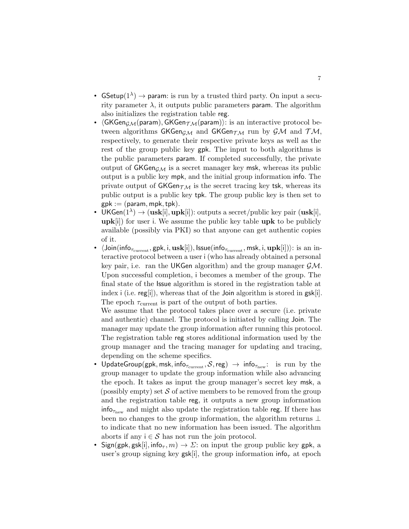- GSetup( $1^{\lambda}$ )  $\rightarrow$  param: is run by a trusted third party. On input a security parameter λ, it outputs public parameters param. The algorithm also initializes the registration table reg.
- $\langle GKGen_{GM}(param), GKGen_{TM}(param)\rangle$ : is an interactive protocol between algorithms GKGen<sub>GM</sub> and GKGen<sub>TM</sub> run by GM and TM, respectively, to generate their respective private keys as well as the rest of the group public key gpk. The input to both algorithms is the public parameters param. If completed successfully, the private output of  $GKGen<sub>GM</sub>$  is a secret manager key msk, whereas its public output is a public key mpk, and the initial group information info. The private output of  $GKGen_{TM}$  is the secret tracing key tsk, whereas its public output is a public key tpk. The group public key is then set to  $gpk := (param, mpk, tpk).$
- UKGen $(1^{\lambda}) \rightarrow (\mathbf{usk}[i], \mathbf{upk}[i])$ : outputs a secret/public key pair  $(\mathbf{usk}[i],$ upk[i]) for user i. We assume the public key table upk to be publicly available (possibly via PKI) so that anyone can get authentic copies of it.
- $\langle$ Join(info<sub> $\tau_{\text{current}}$ </sub>, gpk, i,  $\textbf{usk}[i])$ , Issue(info $_{\tau_{\text{current}}}$ , msk, i,  $\textbf{upk}[i])\rangle$ : is an interactive protocol between a user i (who has already obtained a personal key pair, i.e. ran the UKGen algorithm) and the group manager  $\mathcal{G}\mathcal{M}$ . Upon successful completion, i becomes a member of the group. The final state of the Issue algorithm is stored in the registration table at index i (i.e. reg[i]), whereas that of the Join algorithm is stored in gsk[i]. The epoch  $\tau_{\text{current}}$  is part of the output of both parties.

We assume that the protocol takes place over a secure (i.e. private and authentic) channel. The protocol is initiated by calling Join. The manager may update the group information after running this protocol. The registration table reg stores additional information used by the group manager and the tracing manager for updating and tracing, depending on the scheme specifics.

- UpdateGroup(gpk, msk, info $_{\tau_{\text{current}}}$ ,  $S$ , reg)  $\rightarrow$  info $_{\tau_{\text{new}}}$ : is run by the group manager to update the group information while also advancing the epoch. It takes as input the group manager's secret key msk, a (possibly empty) set  $S$  of active members to be removed from the group and the registration table reg, it outputs a new group information  $info_{\tau_{\text{new}}}$  and might also update the registration table reg. If there has been no changes to the group information, the algorithm returns ⊥ to indicate that no new information has been issued. The algorithm aborts if any  $i \in S$  has not run the join protocol.
- Sign(gpk, gsk[i], info<sub> $\tau$ </sub>,  $m$ )  $\rightarrow \Sigma$ : on input the group public key gpk, a user's group signing key gsk[i], the group information  $\text{info}_{\tau}$  at epoch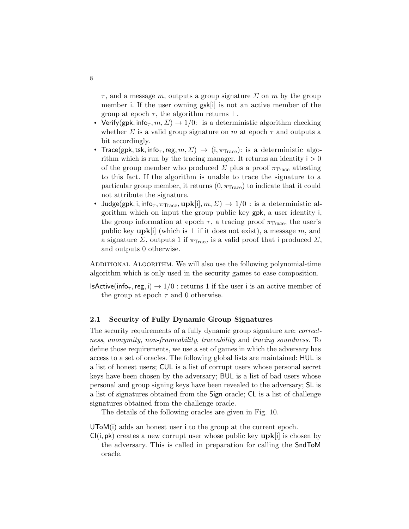$\tau$ , and a message m, outputs a group signature  $\Sigma$  on m by the group member i. If the user owning  $gsk[i]$  is not an active member of the group at epoch  $\tau$ , the algorithm returns  $\bot$ .

- Verify(gpk, info<sub> $\tau$ </sub>,  $m$ ,  $\Sigma$ )  $\rightarrow$  1/0: is a deterministic algorithm checking whether  $\Sigma$  is a valid group signature on m at epoch  $\tau$  and outputs a bit accordingly.
- Trace(gpk, tsk, info<sub> $\tau$ </sub>, reg,  $m, \Sigma$ )  $\rightarrow$  (i,  $\pi_{\text{Trace}}$ ): is a deterministic algorithm which is run by the tracing manager. It returns an identity  $i > 0$ of the group member who produced  $\Sigma$  plus a proof  $\pi_{\text{Trace}}$  attesting to this fact. If the algorithm is unable to trace the signature to a particular group member, it returns  $(0, \pi_{\text{Trace}})$  to indicate that it could not attribute the signature.
- Judge(gpk, i, info<sub> $\tau$ </sub>,  $\pi_{\text{Trace}}$ , upk[i],  $m, \Sigma$ )  $\rightarrow$  1/0 : is a deterministic algorithm which on input the group public key gpk, a user identity i, the group information at epoch  $\tau$ , a tracing proof  $\pi_{\text{Trace}}$ , the user's public key upk[i] (which is  $\perp$  if it does not exist), a message m, and a signature  $\Sigma$ , outputs 1 if  $\pi_{\text{Trace}}$  is a valid proof that i produced  $\Sigma$ , and outputs 0 otherwise.

ADDITIONAL ALGORITHM. We will also use the following polynomial-time algorithm which is only used in the security games to ease composition.

 $IsActive(info_\tau,reg, i) \rightarrow 1/0$ : returns 1 if the user i is an active member of the group at epoch  $\tau$  and 0 otherwise.

### 2.1 Security of Fully Dynamic Group Signatures

The security requirements of a fully dynamic group signature are: *correct*ness, anonymity, non-frameability, traceability and tracing soundness. To define those requirements, we use a set of games in which the adversary has access to a set of oracles. The following global lists are maintained: HUL is a list of honest users; CUL is a list of corrupt users whose personal secret keys have been chosen by the adversary; BUL is a list of bad users whose personal and group signing keys have been revealed to the adversary; SL is a list of signatures obtained from the Sign oracle; CL is a list of challenge signatures obtained from the challenge oracle.

The details of the following oracles are given in Fig. 10.

UToM(i) adds an honest user i to the group at the current epoch.

 $Cl(i, pk)$  creates a new corrupt user whose public key  $upk[i]$  is chosen by the adversary. This is called in preparation for calling the SndToM oracle.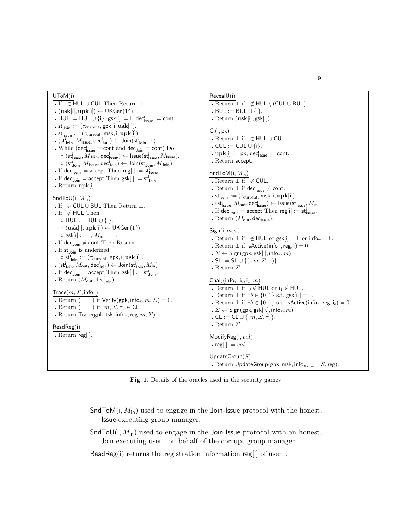#### UToM(i)

 If i ∈ HUL ∪ CUL Then Return ⊥.  $\mathbf{u} \cdot (\mathbf{usk}[i], \mathbf{upk}[i]) \leftarrow \mathsf{UKGen}(1^{\lambda}).$ **.** HUL := HUL  $\cup$  {i}, gsk[i] := $\bot$ , dec $_{\text{issue}}^{\text{i}}$  := cont.  $\mathbf{s}$  st $\mathbf{j}_{\text{oin}} := (\tau_{\text{current}}, \text{gpk}, \mathbf{i}, \text{usk[i]}).$  $\mathbf{s}$  still still  $(\tau_{\text{current}}, \text{msk}, \mathbf{i}, \text{upk[i]}).$  $\bullet$  (st<sup>i</sup><sub>Join</sub>,  $M_{\text{issue}}$ , dec<sup>i</sup><sub>Join</sub>)  $\leftarrow$  Join(st<sup>i</sup><sub>Join</sub>,  $\perp$ ). While  $(dec<sub>issue</sub><sup>i</sup> = cont and  $dec<sub>Join</sub><sup>i</sup> = cont)$  Do$  $\circ$   $(\mathsf{st}_{\mathsf{issue}}^i, M_{\mathsf{Join}}, \mathsf{dec}_{\mathsf{issue}}^i) \leftarrow \mathsf{issue}(\mathsf{st}_{\mathsf{issue}}^i, M_{\mathsf{issue}}).$  $\circ$   $(\mathsf{st}^i_{\mathsf{Join}}, M_{\mathsf{Issue}}, \mathsf{dec}^i_{\mathsf{Join}}) \leftarrow \mathsf{Join}(\mathsf{st}^i_{\mathsf{Join}}, M_{\mathsf{Join}}).$ If dec<sup>i</sup>ssue</sub> = accept Then reg[i] :=  $st_{\text{issue}}^i$ . If dec<sup>i</sup><sub>Join</sub> = accept Then  $gsk[i] := st^{i}_{Join}$ . Return upk[i].  $SndToU(i, M_{in})$  If i ∈ CUL ∪ BUL Then Return ⊥. **If i** ∉ HUL Then ◦ HUL := HUL ∪ {i}.  $\circ$  (usk[i], upk[i])  $\leftarrow$  UKGen(1<sup> $\lambda$ </sup>). ◦ gsk[i] :=⊥, Min :=⊥. If dec<sup>i</sup><sub>Join</sub>  $\neq$  cont Then Return  $\perp$ . If  $st_{Join}$  is undefined  $\circ$  st<sup>1</sup><sub>Join</sub> := ( $\tau_{\text{current}}$ , gpk, i, usk[i]).  $\mathbf{C} = (\mathsf{st}_{\mathsf{Join}}^{\mathsf{i}}, M_{\mathsf{out}}, \mathsf{dec}_{\mathsf{Join}}^{\mathsf{i}}) \leftarrow \mathsf{Join}(\mathsf{st}_{\mathsf{Join}}^{\mathsf{i}}, M_{\mathsf{in}})$ If  $dec_{Join}^i = accept$  Then  $gsk[i] := st_{Join}^i$ . Return  $(M_{\text{out}}, \text{dec}_{\text{Join}}^{\text{i}})$ . Trace $(m, \Sigma, \text{info}_{\tau})$ Return  $(\perp, \perp)$  if Verify(gpk, info<sub> $\tau$ </sub>,  $m$ ,  $\Sigma$ ) = 0. Return  $(\perp, \perp)$  if  $(m, \Sigma, \tau) \in \mathsf{CL}$ . Return Trace(gpk, tsk, info<sub> $\tau$ </sub>, reg,  $m$ ,  $\Sigma$ ). ReadReg(i) Return reg[i]. **Return**  $\bot$  if  $\mathbf{i} \notin \mathsf{HUL} \setminus (\mathsf{CUL} \cup \mathsf{BUL}).$  $BUL := BUL \cup \{i\}.$  Return (usk[i], gsk[i]).  $CI(i, pk)$  $\cdot$  CUL := CUL  $\cup$  {i}. Return accept.  $SndToM(i, M_{in})$  $Sign(i, m, \tau)$ . Return  $\Sigma$ .  $\mathsf{Chal}_b(\mathsf{info}_\tau, \mathsf{i}_0, \mathsf{i}_1, m)$  Return Σ. ModifyReg(i, val) reg[i] :=  $val$ . UpdateGroup $(S)$ Return UpdateGroup(gpk, msk, info $_{\tau_{\text{current}}}$ , S, reg).

# RevealU(i)

- 
- 
- Return ⊥ if i ∈ HUL ∪ CUL.  $\blacksquare$  upk $[i] := \mathsf{pk}, \, \mathsf{dec}^i_{\mathsf{issue}} := \mathsf{cont}.$ **Return**  $\bot$  if i  $\notin$  CUL. **.** Return  $\bot$  if dec<sup>i</sup><sub>lssue</sub>  $\neq$  cont.  $\mathsf{st}^i_{\mathsf{lssue}} := (\tau_{\text{current}}, \mathsf{msk}, \mathsf{i}, \mathsf{upk}[\mathsf{i}]).$  $\begin{aligned} & \quad \cdot (\mathsf{st}_{\mathsf{issue}}^i, M_{\mathsf{out}}, \mathsf{dec}_{\mathsf{issue}}^i) \leftarrow \mathsf{ Issue}(\mathsf{st}_{\mathsf{issue}}^i, M_{\mathsf{in}}). \end{aligned}$ If  $dec^i_{\text{issue}} = \text{accept}$  Then  $reg[i] := st^i_{\text{issue}}$ . . Return  $(M_{\textsf{out}}, \mathsf{dec}_{\mathsf{issue}}^{\mathsf{i}})$ . **Return**  $\perp$  if i  $\notin$  HUL or gsk[i] =  $\perp$  or info<sub> $\tau$ </sub> =  $\perp$ . **Return**  $\bot$  if **IsActive**(info<sub> $\tau$ </sub>, reg, i) = 0.  $\mathcal{\Sigma} \leftarrow$  Sign(gpk, gsk[i], info<sub> $\tau$ </sub>,  $m$ ).  $\mathsf{SL} := \mathsf{SL} \cup \{ (\mathsf{i}, m, \Sigma, \tau) \}.$ **.** Return  $\bot$  if i<sub>0</sub>  $\notin$  HUL or i<sub>1</sub>  $\notin$  HUL. **Return**  $\bot$  if  $\exists b \in \{0, 1\}$  s.t. gsk[i<sub>b</sub>] = $\bot$ . **Return**  $\bot$  if  $\exists b \in \{0, 1\}$  s.t. **IsActive**(info<sub> $\tau$ </sub>, reg, i<sub>b</sub>) = 0.  $\Sigma \leftarrow$  Sign(gpk, gsk[i<sub>b</sub>], info<sub> $\tau$ </sub>, m).  $\mathsf{CL} := \mathsf{CL} \cup \{(m, \Sigma, \tau)\}.$ 
	-

Fig. 1. Details of the oracles used in the security games

- SndToM(i,  $M_{\text{in}}$ ) used to engage in the Join-Issue protocol with the honest, Issue-executing group manager.
- SndToU(i,  $M_{\text{in}}$ ) used to engage in the Join-Issue protocol with an honest, Join-executing user i on behalf of the corrupt group manager.

ReadReg(i) returns the registration information reg[i] of user i.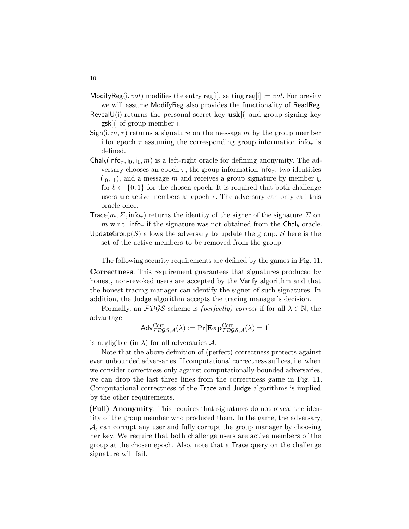- ModifyReg(i, val) modifies the entry reg[i], setting reg[i]  $:= val$ . For brevity we will assume ModifyReg also provides the functionality of ReadReg.
- RevealU(i) returns the personal secret key  $\text{usk}[i]$  and group signing key gsk[i] of group member i.
- $Sign(i, m, \tau)$  returns a signature on the message m by the group member i for epoch  $\tau$  assuming the corresponding group information info<sub> $\tau$ </sub> is defined.
- Chal<sub>b</sub>(info<sub> $\tau$ </sub>, i<sub>0</sub>, i<sub>1</sub>, *m*) is a left-right oracle for defining anonymity. The adversary chooses an epoch  $\tau$ , the group information info<sub> $\tau$ </sub>, two identities  $(i_0, i_1)$ , and a message m and receives a group signature by member  $i_b$ for  $b \leftarrow \{0, 1\}$  for the chosen epoch. It is required that both challenge users are active members at epoch  $\tau$ . The adversary can only call this oracle once.
- Trace(m,  $\Sigma$ , info<sub>τ</sub>) returns the identity of the signer of the signature  $\Sigma$  on m w.r.t. info<sub>r</sub> if the signature was not obtained from the Chal<sub>b</sub> oracle.
- UpdateGroup(S) allows the adversary to update the group. S here is the set of the active members to be removed from the group.

The following security requirements are defined by the games in Fig. 11.

Correctness. This requirement guarantees that signatures produced by honest, non-revoked users are accepted by the Verify algorithm and that the honest tracing manager can identify the signer of such signatures. In addition, the Judge algorithm accepts the tracing manager's decision.

Formally, an  $FDSS$  scheme is *(perfectly) correct* if for all  $\lambda \in \mathbb{N}$ , the advantage

$$
\mathsf{Adv}_{\mathcal{FDGS},\mathcal{A}}^{\mathsf{Corr}}(\lambda) := \Pr[\mathbf{Exp}_{\mathcal{FDGS},\mathcal{A}}^{\mathsf{Corr}}(\lambda) = 1]
$$

is negligible (in  $\lambda$ ) for all adversaries  $\mathcal{A}$ .

Note that the above definition of (perfect) correctness protects against even unbounded adversaries. If computational correctness suffices, i.e. when we consider correctness only against computationally-bounded adversaries, we can drop the last three lines from the correctness game in Fig. 11. Computational correctness of the Trace and Judge algorithms is implied by the other requirements.

(Full) Anonymity. This requires that signatures do not reveal the identity of the group member who produced them. In the game, the adversary, A, can corrupt any user and fully corrupt the group manager by choosing her key. We require that both challenge users are active members of the group at the chosen epoch. Also, note that a Trace query on the challenge signature will fail.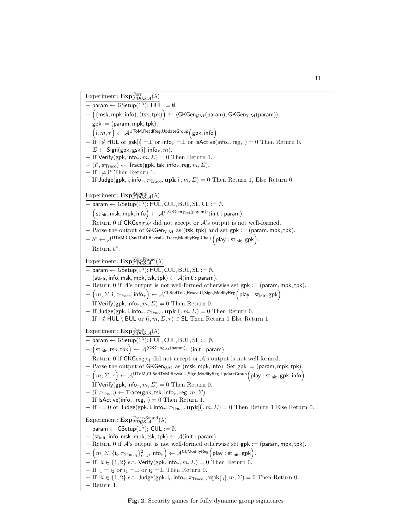Experiment:  $\mathbf{Exp}^{\mathrm{Corr}}_{\mathcal{F}D\mathcal{GS},\mathcal{A}}(\lambda)$ 

 $\overline{\phantom{h}}$  – param  $\leftarrow$  GSetup $(1^{\lambda});$  HUL :=  $\emptyset$ .

- $-\left( \left( \mathsf{msk},\mathsf{mpk},\mathsf{info} \right),\left( \mathsf{tsk},\mathsf{tpk} \right) \right) \leftarrow \langle \mathsf{GKGen}_{\mathcal{GM}}(\mathsf{param}),\mathsf{GKGen}_{\mathcal{TM}}(\mathsf{param}) \rangle.$
- $-$  gpk := (param, mpk, tpk).
- $\mathcal{A} = \left(\mathsf{i},m,\tau\right) \leftarrow \mathcal{A}^{\mathsf{UToM},\mathsf{ReadReg},\mathsf{UpdateGroup}\left(\mathsf{gpk},\mathsf{info}\right).$
- − If i ∉ HUL or gsk[i] = $\perp$  or info<sub> $\tau$ </sub> = $\perp$  or IsActive(info<sub> $\tau$ </sub>, reg, i) = 0 Then Return 0.
- $\Sigma \leftarrow$  Sign(gpk, gsk[i], info<sub> $\tau$ </sub>, m).
- $-$  If Verify(gpk, info<sub> $\tau$ </sub>,  $m$ ,  $\Sigma$ ) = 0 Then Return 1.
- $-$  (i<sup>\*</sup>,  $\pi_{\text{Trace}}$ ) ← Trace(gpk, tsk, info<sub> $\tau$ </sub>, reg,  $m, \Sigma$ ).
- − If  $i \neq i^*$  Then Return 1.

- If 
$$
\text{Judge}(\text{gpk}, i, \text{info}_{\tau}, \pi_{\text{Trace}}, \text{upk}[i], m, \Sigma) = 0
$$
 Then Return 1, Else Return 0.

Experiment:  $\mathbf{Exp}_{\mathcal{F}\mathcal{D}\mathcal{G}\mathcal{S},\mathcal{A}}^{\text{Anon-}b}(\lambda)$ 

 $-$  param  $\leftarrow$  GSetup $(1^{\lambda});$  HUL, CUL, BUL, SL, CL :=  $\emptyset$ .

- $-\left(\textsf{st}_{\textsf{init}},\textsf{msk},\textsf{mpk},\textsf{info}\right) \gets \mathcal{A}^{\langle \cdot,\textsf{GKGen}_{\mathcal{TM}}(\textsf{param})\rangle}(\textsf{init} : \textsf{param}).$
- − Return 0 if GKGen $\tau_{\mathcal{M}}$  did not accept or  $\mathcal{A}$ 's output is not well-formed.
- − Parse the output of GKGen $_{\mathcal{TM}}$  as (tsk, tpk) and set gpk := (param, mpk, tpk).
- $a-b^* \leftarrow \mathcal{A}^{\textsf{UToM},\textsf{CI},\textsf{SndToU},\textsf{RevealU},\textsf{Trace},\textsf{ModifyReg},\textsf{Chal}_b\left(\textsf{play}: \textsf{st}_{\textsf{init}},\textsf{gpk}\right).$
- $-$  Return  $b^*$ .

# Experiment:  $\text{Exp}_{\mathcal{F}D\mathcal{GS},\mathcal{A}}^{\text{Non-Frame}}(\lambda)$

- $\overline{\phantom{C}}$  param  $\leftarrow$  GSetup $(1^{\lambda});$  HUL, CUL, BUL, SL :=  $\emptyset$ .
- $-$  (st<sub>init</sub>, info, msk, mpk, tsk, tpk)  $\leftarrow$  A(init : param).
- $-$  Return 0 if  $\mathcal{A}$ 's output is not well-formed otherwise set gpk := (param, mpk, tpk).
- $-\left(m,\Sigma,\mathsf{i},\pi_{\text{Trace}},\mathsf{info}_{\tau}\right) \leftarrow \mathcal{A}^{\mathsf{CI,SndToU},\mathsf{RevealU},\mathsf{Sign},\mathsf{ModifyReg}\big(\mathsf{play}:\mathsf{st}_{\mathsf{init}},\mathsf{gpk}\big).$
- $-$  If Verify(gpk, info<sub> $\tau$ </sub>,  $m$ ,  $\Sigma$ ) = 0 Then Return 0.
- $-$  If Judge(gpk, i, info<sub> $\tau$ </sub>,  $\pi_{\text{Trace}}$ , upk[i],  $m, \Sigma$ ) = 0 Then Return 0.
- − If i  $\notin$  HUL \ BUL or (i, m,  $\Sigma$ ,  $\tau$ )  $\in$  SL Then Return 0 Else Return 1.

Experiment:  $\mathbf{Exp}_{\mathcal{F}\mathcal{D}\mathcal{G}\mathcal{S},\mathcal{A}}^{\text{Trace}}(\lambda)$ 

- $\overline{\phantom{h}}$  param  $\leftarrow$  GSetup $(1^{\lambda});$  HUL, CUL, BUL, SL :=  $\emptyset$ .
- $-\left(\textsf{st}_{\textsf{init}},\textsf{tsk},\textsf{tpk}\right) \leftarrow \mathcal{A}^{\langle \textsf{GKGeng}_{\mathcal{M}}(\textsf{param}), \cdot \rangle}(\textsf{init} : \textsf{param}).$
- − Return 0 if GKGen<sub>GM</sub> did not accept or A's output is not well-formed.
- $-$  Parse the output of GKGen $_{GM}$  as (msk, mpk, info). Set gpk := (param, mpk, tpk).
- $\mu = \Big(m, \Sigma, \tau\Big) \leftarrow \mathcal{A}^{\sf{UToM},\sf{CI},\sf{SndToM},\sf{RevealU},\sf{Sign},\sf{ModifyReg},\sf{UpdateGroup}\Big(\sf{play:st_{init},gpk,info}\Big).$
- $-$  If Verify(gpk, info<sub> $\tau$ </sub>,  $m$ ,  $\Sigma$ ) = 0 Then Return 0.
- $−$  (i,  $\pi_{\text{Trace}}$ ) ← Trace(gpk, tsk, info<sub> $\tau$ </sub>, reg,  $m, \Sigma$ ).
- $-$  If IsActive(info<sub> $\tau$ </sub>, reg, i) = 0 Then Return 1.
- $-$  If i = 0 or Judge(gpk, i, info<sub> $\tau$ </sub>,  $\pi_{\text{Trace}}$ , upk[i],  $m, \Sigma$ ) = 0 Then Return 1 Else Return 0.

Experiment:  $\mathbf{Exp}^{\text{Trace-Sound}}_{\mathcal{F}\mathcal{D}\mathcal{GS},\mathcal{A}}(\lambda)$ 

- $\overline{\phantom{h}}$  param  $\leftarrow$  GSetup $(1^{\lambda});$  CUL :=  $\emptyset$ .
- $-$  (st<sub>init</sub>, info, msk, mpk, tsk, tpk)  $\leftarrow$  A(init : param).
- $-$  Return 0 if  $A$ 's output is not well-formed otherwise set gpk := (param, mpk, tpk).
- $-\left(m,\Sigma,\{\mathsf{i}_i,\pi_{\text{Trace}_i}\}_{i=1}^2,\textsf{info}_\tau\right)\gets\mathcal{A}^\mathsf{CI,\textsf{ModifyReg}}\Big(\textsf{play}: \mathsf{st}_{\mathsf{init}},\mathsf{gpk}\Big).$
- $-$  If  $\exists i \in \{1,2\}$  s.t. Verify(gpk, info<sub> $\tau$ </sub>,  $m$ ,  $\Sigma$ ) = 0 Then Return 0.
- − If  $i_1 = i_2$  or  $i_1 = \perp$  or  $i_2 = \perp$  Then Return 0.
- $-$  If  $\exists i \in \{1,2\}$  s.t. Judge(gpk,  $i_i$ , info<sub>τ</sub>, π<sub>Trace<sub>i</sub></sub>, **upk**[i<sub>i</sub>], *m*, *Σ*) = 0 Then Return 0.
- − Return 1.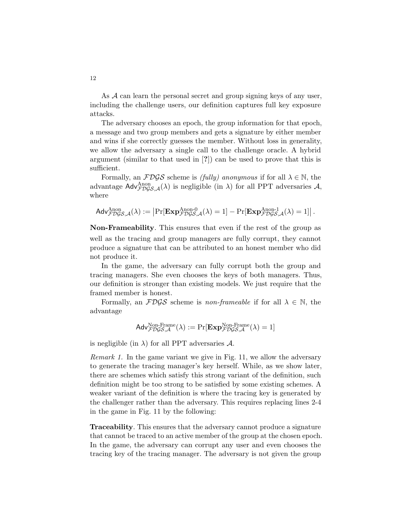As  $A$  can learn the personal secret and group signing keys of any user, including the challenge users, our definition captures full key exposure attacks.

The adversary chooses an epoch, the group information for that epoch, a message and two group members and gets a signature by either member and wins if she correctly guesses the member. Without loss in generality, we allow the adversary a single call to the challenge oracle. A hybrid argument (similar to that used in [?]) can be used to prove that this is sufficient.

Formally, an  $FDGS$  scheme is (fully) anonymous if for all  $\lambda \in \mathbb{N}$ , the advantage  $\mathsf{Adv}^{\text{Anon}}_{\mathcal{FDGS},\mathcal{A}}(\lambda)$  is negligible (in  $\lambda$ ) for all PPT adversaries  $\mathcal{A},$ where

$$
\mathsf{Adv}_{\mathcal{FDGS},\mathcal{A}}^{\mathrm{Anon}}(\lambda) := \left| \Pr[\mathbf{Exp}_{\mathcal{FDGS},\mathcal{A}}^{\mathrm{Anon-0}}(\lambda) = 1] - \Pr[\mathbf{Exp}_{\mathcal{FDGS},\mathcal{A}}^{\mathrm{Anon-1}}(\lambda) = 1] \right|.
$$

Non-Frameability. This ensures that even if the rest of the group as well as the tracing and group managers are fully corrupt, they cannot produce a signature that can be attributed to an honest member who did not produce it.

In the game, the adversary can fully corrupt both the group and tracing managers. She even chooses the keys of both managers. Thus, our definition is stronger than existing models. We just require that the framed member is honest.

Formally, an  $FDGS$  scheme is non-frameable if for all  $\lambda \in \mathbb{N}$ , the advantage

$$
\mathsf{Adv}_{\mathcal{F}\mathcal{D}\mathcal{G}\mathcal{S},\mathcal{A}}^{\mathrm{Non-Freme}}(\lambda) := \Pr[\mathbf{Exp}_{\mathcal{F}\mathcal{D}\mathcal{G}\mathcal{S},\mathcal{A}}^{\mathrm{Non-Freme}}(\lambda) = 1]
$$

is negligible (in  $\lambda$ ) for all PPT adversaries A.

Remark 1. In the game variant we give in Fig. 11, we allow the adversary to generate the tracing manager's key herself. While, as we show later, there are schemes which satisfy this strong variant of the definition, such definition might be too strong to be satisfied by some existing schemes. A weaker variant of the definition is where the tracing key is generated by the challenger rather than the adversary. This requires replacing lines 2-4 in the game in Fig. 11 by the following:

Traceability. This ensures that the adversary cannot produce a signature that cannot be traced to an active member of the group at the chosen epoch. In the game, the adversary can corrupt any user and even chooses the tracing key of the tracing manager. The adversary is not given the group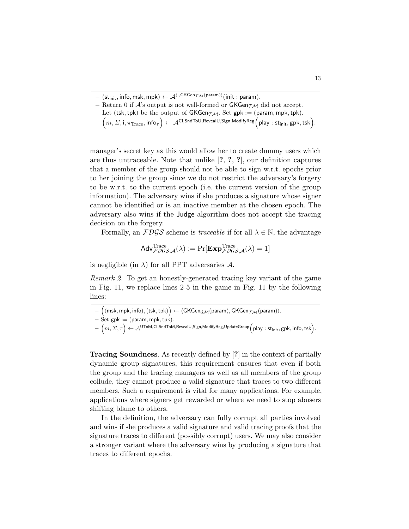- $(\text{st}_{\textsf{init}}, \textsf{info}, \textsf{msk}, \textsf{mpk}) \leftarrow \mathcal{A}^{\langle \cdot, \textsf{GKGen}_{\mathcal{TM}}(\textsf{param}) \rangle}(\textsf{init}: \textsf{param}).$
- − Return 0 if  $A$ 's output is not well-formed or GKGen $\tau$ <sub>M</sub> did not accept.
- $-$  Let (tsk, tpk) be the output of  $GKGen_{\mathcal{TM}}$ . Set gpk := (param, mpk, tpk).
- −  $(m,\Sigma,\mathsf{i},\pi_\mathrm{Trace},\mathsf{info}_\tau) \leftarrow \mathcal{A}^\mathsf{CI,SndToU,RevealU,Sign,ModifyReg} \Big(\mathsf{play}: \mathsf{st}_{\mathsf{init}}, \mathsf{gpk}, \mathsf{tsk}\Big)$ .

manager's secret key as this would allow her to create dummy users which are thus untraceable. Note that unlike [?, ?, ?], our definition captures that a member of the group should not be able to sign w.r.t. epochs prior to her joining the group since we do not restrict the adversary's forgery to be w.r.t. to the current epoch (i.e. the current version of the group information). The adversary wins if she produces a signature whose signer cannot be identified or is an inactive member at the chosen epoch. The adversary also wins if the Judge algorithm does not accept the tracing decision on the forgery.

Formally, an  $FDSS$  scheme is *traceable* if for all  $\lambda \in \mathbb{N}$ , the advantage

$$
\mathsf{Adv}_{\mathcal{FDGS},\mathcal{A}}^{\text{Trace}}(\lambda) := \Pr[\mathbf{Exp}_{\mathcal{FDGS},\mathcal{A}}^{\text{Trace}}(\lambda) = 1]
$$

is negligible (in  $\lambda$ ) for all PPT adversaries  $\mathcal{A}$ .

Remark 2. To get an honestly-generated tracing key variant of the game in Fig. 11, we replace lines 2-5 in the game in Fig. 11 by the following lines:

```
−
      \Big((\mathsf{msk},\mathsf{mpk},\mathsf{info}),(\mathsf{tsk},\mathsf{tpk})\Big) \leftarrow \langle \mathsf{GKGen}_{\mathcal{GM}}(\mathsf{param}), \mathsf{GKGen}_{\mathcal{TM}}(\mathsf{param})\rangle.-\ \operatorname{\hat{Set}} gpk := (param, mpk, tpk).
−
      \big( m, \Sigma, \tau \big) \leftarrow \mathcal{A}^{\sf{UToM,CI,SndToM,RevealU,Sign,ModifyReg, UpdateGroup}\big(\text{play : st}_{\text{init}}, \text{gpk, info}, \text{tsk}\big).
```
Tracing Soundness. As recently defined by [?] in the context of partially dynamic group signatures, this requirement ensures that even if both the group and the tracing managers as well as all members of the group collude, they cannot produce a valid signature that traces to two different members. Such a requirement is vital for many applications. For example, applications where signers get rewarded or where we need to stop abusers shifting blame to others.

In the definition, the adversary can fully corrupt all parties involved and wins if she produces a valid signature and valid tracing proofs that the signature traces to different (possibly corrupt) users. We may also consider a stronger variant where the adversary wins by producing a signature that traces to different epochs.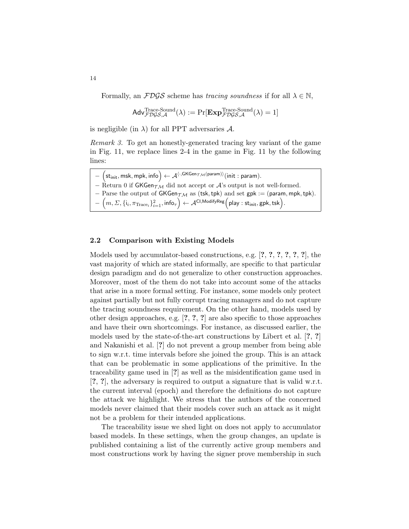Formally, an  $\mathcal{F}\mathcal{D}\mathcal{G}\mathcal{S}$  scheme has tracing soundness if for all  $\lambda \in \mathbb{N}$ ,

$$
\mathsf{Adv}_{\mathcal{FDGS},\mathcal{A}}^{\mathsf{Trace-Sound}}(\lambda) := \Pr[\mathbf{Exp}_{\mathcal{FDGS},\mathcal{A}}^{\mathsf{Trace-Sound}}(\lambda) = 1]
$$

is negligible (in  $\lambda$ ) for all PPT adversaries  $\mathcal{A}$ .

Remark 3. To get an honestly-generated tracing key variant of the game in Fig. 11, we replace lines 2-4 in the game in Fig. 11 by the following lines:

- $\ \left( \mathsf{st}_{\mathsf{init}}, \mathsf{msk}, \mathsf{mpk}, \mathsf{info} \right) \leftarrow \mathcal{A}^{\left< \cdot, \mathsf{GKGen}_{\mathcal{TM}}(\mathsf{param}) \right)}(\mathsf{init} : \mathsf{param}).$
- $-$  Return 0 if GKGen $\tau_{\mathcal{M}}$  did not accept or  $\mathcal{A}$ 's output is not well-formed.
- $-$  Parse the output of GKGen $_{\mathcal{TM}}$  as (tsk, tpk) and set gpk := (param, mpk, tpk).
- $-\left(m,\Sigma,\{\mathsf{i}_i,\pi_{\text{Trace}_i}\}_{i=1}^2,\mathsf{info}_\tau\right)\leftarrow\mathcal{A}^\mathsf{CI,\textsf{ModifyReg}}\Big(\mathsf{play}: \mathsf{st}_{\mathsf{init}},\mathsf{gpk},\mathsf{tsk}\Big).$

#### 2.2 Comparison with Existing Models

Models used by accumulator-based constructions, e.g. [?, ?, ?, ?, ?, ?], the vast majority of which are stated informally, are specific to that particular design paradigm and do not generalize to other construction approaches. Moreover, most of the them do not take into account some of the attacks that arise in a more formal setting. For instance, some models only protect against partially but not fully corrupt tracing managers and do not capture the tracing soundness requirement. On the other hand, models used by other design approaches, e.g. [?, ?, ?] are also specific to those approaches and have their own shortcomings. For instance, as discussed earlier, the models used by the state-of-the-art constructions by Libert et al. [?, ?] and Nakanishi et al. [?] do not prevent a group member from being able to sign w.r.t. time intervals before she joined the group. This is an attack that can be problematic in some applications of the primitive. In the traceability game used in [?] as well as the misidentification game used in [?, ?], the adversary is required to output a signature that is valid w.r.t. the current interval (epoch) and therefore the definitions do not capture the attack we highlight. We stress that the authors of the concerned models never claimed that their models cover such an attack as it might not be a problem for their intended applications.

The traceability issue we shed light on does not apply to accumulator based models. In these settings, when the group changes, an update is published containing a list of the currently active group members and most constructions work by having the signer prove membership in such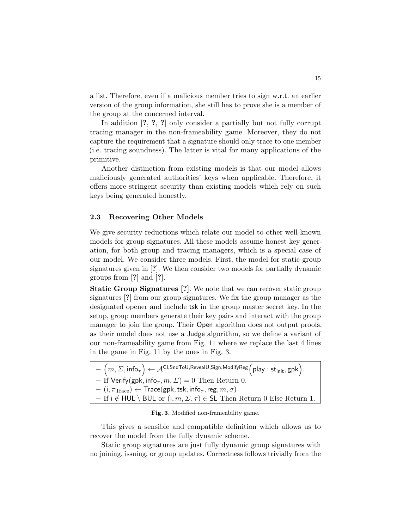a list. Therefore, even if a malicious member tries to sign w.r.t. an earlier version of the group information, she still has to prove she is a member of the group at the concerned interval.

In addition [?, ?, ?] only consider a partially but not fully corrupt tracing manager in the non-frameability game. Moreover, they do not capture the requirement that a signature should only trace to one member (i.e. tracing soundness). The latter is vital for many applications of the primitive.

Another distinction from existing models is that our model allows maliciously generated authorities' keys when applicable. Therefore, it offers more stringent security than existing models which rely on such keys being generated honestly.

### 2.3 Recovering Other Models

We give security reductions which relate our model to other well-known models for group signatures. All these models assume honest key generation, for both group and tracing managers, which is a special case of our model. We consider three models. First, the model for static group signatures given in [?]. We then consider two models for partially dynamic groups from [?] and [?].

Static Group Signatures [?]. We note that we can recover static group signatures [?] from our group signatures. We fix the group manager as the designated opener and include tsk in the group master secret key. In the setup, group members generate their key pairs and interact with the group manager to join the group. Their Open algorithm does not output proofs, as their model does not use a Judge algorithm, so we define a variant of our non-frameability game from Fig. 11 where we replace the last 4 lines in the game in Fig. 11 by the ones in Fig. 3.

| $\mathcal{L} = \left( m, \Sigma, \mathsf{info}_{\tau} \right) \leftarrow \mathcal{A}^{\mathsf{CI,SndToU,RevealU,Sign,ModifyReg}} \left( \mathsf{play:st_{init}, gpk} \right).$ |
|--------------------------------------------------------------------------------------------------------------------------------------------------------------------------------|
| - If Verify(gpk, info <sub><math>\tau</math></sub> , $m$ , $\Sigma$ ) = 0 Then Return 0.                                                                                       |
| $-$ (i, $\pi_{\text{Trace}}$ ) $\leftarrow$ Trace(gpk, tsk, info <sub><math>\tau</math></sub> , reg, $m, \sigma$ )                                                             |
| - If $i \notin HUL \setminus BUL$ or $(i, m, \Sigma, \tau) \in SL$ Then Return 0 Else Return 1.                                                                                |
|                                                                                                                                                                                |

Fig. 3. Modified non-frameability game.

This gives a sensible and compatible definition which allows us to recover the model from the fully dynamic scheme.

Static group signatures are just fully dynamic group signatures with no joining, issuing, or group updates. Correctness follows trivially from the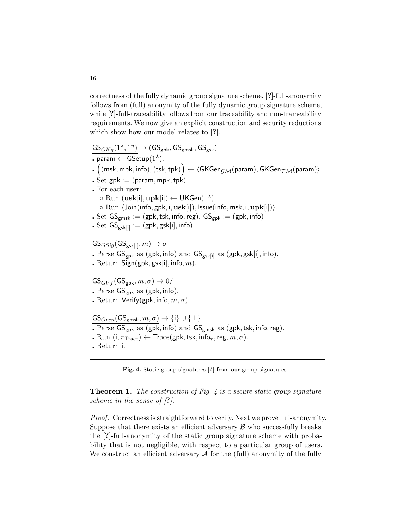correctness of the fully dynamic group signature scheme. [?]-full-anonymity follows from (full) anonymity of the fully dynamic group signature scheme, while [?]-full-traceability follows from our traceability and non-frameability requirements. We now give an explicit construction and security reductions which show how our model relates to [?].

 $\mathsf{GS}_{GKg}(1^\lambda,1^n) \to (\mathsf{GS}_{\mathsf{gpk}},\mathsf{GS}_{\mathsf{gmsk}},\mathsf{GS}_{\mathsf{gsk}})$ • param  $\leftarrow$  GSetup $(1^{\lambda})$ .  $. \left( \left( \mathsf{msk}, \mathsf{mpk}, \mathsf{info} \right), \left( \mathsf{tsk}, \mathsf{tpk} \right) \right) \leftarrow \left\langle \mathsf{GKGen}_{\mathcal{G}\mathcal{M}}(\mathsf{param}), \mathsf{GKGen}_{\mathcal{TM}}(\mathsf{param}) \right\rangle.$  $\vec{s}$ et gpk := (param, mpk, tpk). For each user:  $\circ$  Run (usk[i], upk[i])  $\leftarrow$  UKGen(1<sup> $\lambda$ </sup>).  $\circ$  Run  $\langle$  Join(info, gpk, i,  $\mathbf{usk}[i]),$  Issue(info, msk, i,  $\mathbf{upk}[i])\rangle.$ Set  $GS_{\text{gmsk}} := (\text{gpk}, \text{tsk}, \text{info}, \text{reg}), GS_{\text{gpk}} := (\text{gpk}, \text{info})$ Set  $GS_{\text{gsk}[i]} := (\text{gpk}, \text{gsk}[i], \text{info}).$  $\mathsf{GS}_{GSig}(\mathsf{GS}_{\mathsf{gsk}[\mathsf{i}]},m) \to \sigma$ **Parse GS**<sub>gpk</sub> as (gpk, info) and  $GS_{gsk[i]}$  as (gpk, gsk[i], info). Return Sign(gpk, gsk[i], info,  $m$ ).  $\mathsf{GS}_{GVf}(\mathsf{GS}_{\mathsf{gpk}}, m, \sigma) \to 0/1$  $\sqrt{P\text{arse }GS_{\text{gpk}}}\text{ as }(\text{gpk},\text{info}).$ Return Verify(gpk, info,  $m, \sigma$ ).  $\mathsf{GS}_{Open}(\mathsf{GS}_{\mathsf{gmsk}},m,\sigma) \rightarrow \{\mathsf{i}\} \cup \{\bot\}$  $\sqrt{P\text{arse }GS_{\text{gpk}}}$  as (gpk, info) and  $GS_{\text{gmsk}}$  as (gpk, tsk, info, reg). Run  $(i, \pi_{Trace}) \leftarrow Trace(gpk, tsk, info_\tau, reg, m, \sigma)$ . Return i.

Fig. 4. Static group signatures [?] from our group signatures.

**Theorem 1.** The construction of Fig.  $\ddagger$  is a secure static group signature scheme in the sense of  $\beta$ .

Proof. Correctness is straightforward to verify. Next we prove full-anonymity. Suppose that there exists an efficient adversary  $\beta$  who successfully breaks the [?]-full-anonymity of the static group signature scheme with probability that is not negligible, with respect to a particular group of users. We construct an efficient adversary  $A$  for the (full) anonymity of the fully

16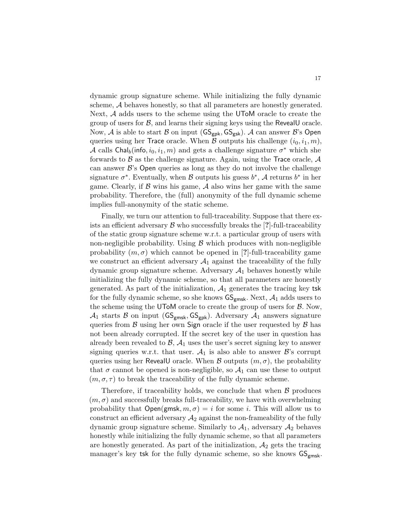dynamic group signature scheme. While initializing the fully dynamic scheme, A behaves honestly, so that all parameters are honestly generated. Next, A adds users to the scheme using the UToM oracle to create the group of users for  $\mathcal{B}$ , and learns their signing keys using the RevealU oracle. Now, A is able to start B on input  $(GS_{gpk}, GS_{gsk})$ . A can answer B's Open queries using her Trace oracle. When B outputs his challenge  $(i_0, i_1, m)$ , A calls Chal<sub>b</sub>(info,  $i_0$ ,  $i_1$ , m) and gets a challenge signature  $\sigma^*$  which she forwards to  $\beta$  as the challenge signature. Again, using the Trace oracle,  $\mathcal A$ can answer  $\mathcal{B}$ 's Open queries as long as they do not involve the challenge signature  $\sigma^*$ . Eventually, when  $\mathcal B$  outputs his guess  $b^*$ ,  $\mathcal A$  returns  $b^*$  in her game. Clearly, if  $\beta$  wins his game,  $\mathcal A$  also wins her game with the same probability. Therefore, the (full) anonymity of the full dynamic scheme implies full-anonymity of the static scheme.

Finally, we turn our attention to full-traceability. Suppose that there exists an efficient adversary  $\beta$  who successfully breaks the [?]-full-traceability of the static group signature scheme w.r.t. a particular group of users with non-negligible probability. Using  $\beta$  which produces with non-negligible probability  $(m, \sigma)$  which cannot be opened in [?]-full-traceability game we construct an efficient adversary  $A_1$  against the traceability of the fully dynamic group signature scheme. Adversary  $A_1$  behaves honestly while initializing the fully dynamic scheme, so that all parameters are honestly generated. As part of the initialization,  $A_1$  generates the tracing key tsk for the fully dynamic scheme, so she knows  $GS_{\text{gmsk}}$ . Next,  $A_1$  adds users to the scheme using the UToM oracle to create the group of users for  $\beta$ . Now,  $A_1$  starts  $B$  on input ( $GS_{gmsk}$ ,  $GS_{gpk}$ ). Adversary  $A_1$  answers signature queries from  $\beta$  using her own Sign oracle if the user requested by  $\beta$  has not been already corrupted. If the secret key of the user in question has already been revealed to  $\mathcal{B}, \mathcal{A}_1$  uses the user's secret signing key to answer signing queries w.r.t. that user.  $A_1$  is also able to answer  $\mathcal{B}$ 's corrupt queries using her RevealU oracle. When B outputs  $(m, \sigma)$ , the probability that  $\sigma$  cannot be opened is non-negligible, so  $\mathcal{A}_1$  can use these to output  $(m, \sigma, \tau)$  to break the traceability of the fully dynamic scheme.

Therefore, if traceability holds, we conclude that when  $\beta$  produces  $(m, \sigma)$  and successfully breaks full-traceability, we have with overwhelming probability that  $Open(gmsk, m, \sigma) = i$  for some i. This will allow us to construct an efficient adversary  $A_2$  against the non-frameability of the fully dynamic group signature scheme. Similarly to  $A_1$ , adversary  $A_2$  behaves honestly while initializing the fully dynamic scheme, so that all parameters are honestly generated. As part of the initialization,  $A_2$  gets the tracing manager's key tsk for the fully dynamic scheme, so she knows  $GS_{\text{gmsk}}$ .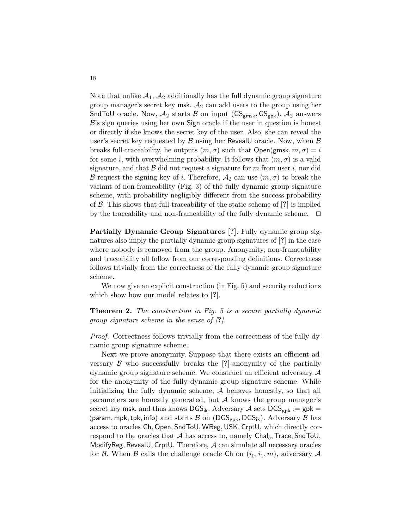Note that unlike  $A_1$ ,  $A_2$  additionally has the full dynamic group signature group manager's secret key msk.  $A_2$  can add users to the group using her SndToU oracle. Now,  $A_2$  starts  $\beta$  on input (GS<sub>gmsk</sub>, GS<sub>gpk</sub>).  $A_2$  answers B's sign queries using her own Sign oracle if the user in question is honest or directly if she knows the secret key of the user. Also, she can reveal the user's secret key requested by  $\beta$  using her RevealU oracle. Now, when  $\beta$ breaks full-traceability, he outputs  $(m, \sigma)$  such that Open(gmsk,  $m, \sigma$ ) = i for some i, with overwhelming probability. It follows that  $(m, \sigma)$  is a valid signature, and that  $\beta$  did not request a signature for m from user i, nor did B request the signing key of i. Therefore,  $A_2$  can use  $(m, \sigma)$  to break the variant of non-frameability (Fig. 3) of the fully dynamic group signature scheme, with probability negligibly different from the success probability of  $\beta$ . This shows that full-traceability of the static scheme of [?] is implied by the traceability and non-frameability of the fully dynamic scheme.  $\Box$ 

Partially Dynamic Group Signatures [?]. Fully dynamic group signatures also imply the partially dynamic group signatures of [?] in the case where nobody is removed from the group. Anonymity, non-frameability and traceability all follow from our corresponding definitions. Correctness follows trivially from the correctness of the fully dynamic group signature scheme.

We now give an explicit construction (in Fig. 5) and security reductions which show how our model relates to [?].

Theorem 2. The construction in Fig. 5 is a secure partially dynamic group signature scheme in the sense of  $[?]$ .

Proof. Correctness follows trivially from the correctness of the fully dynamic group signature scheme.

Next we prove anonymity. Suppose that there exists an efficient adversary  $\beta$  who successfully breaks the [?]-anonymity of the partially dynamic group signature scheme. We construct an efficient adversary A for the anonymity of the fully dynamic group signature scheme. While initializing the fully dynamic scheme, A behaves honestly, so that all parameters are honestly generated, but  $A$  knows the group manager's secret key msk, and thus knows  $\text{DGS}_{ik}$ . Adversary A sets  $\text{DGS}_{gpk} := gpk =$ (param, mpk, tpk, info) and starts  $\mathcal B$  on (DGS<sub>gpk</sub>, DGS<sub>ik</sub>). Adversary  $\mathcal B$  has access to oracles Ch, Open, SndToU, WReg,USK, CrptU, which directly correspond to the oracles that  $A$  has access to, namely  $Chal_b$ , Trace, SndToU, ModifyReg, RevealU, CrptU. Therefore,  $A$  can simulate all necessary oracles for B. When B calls the challenge oracle Ch on  $(i_0, i_1, m)$ , adversary A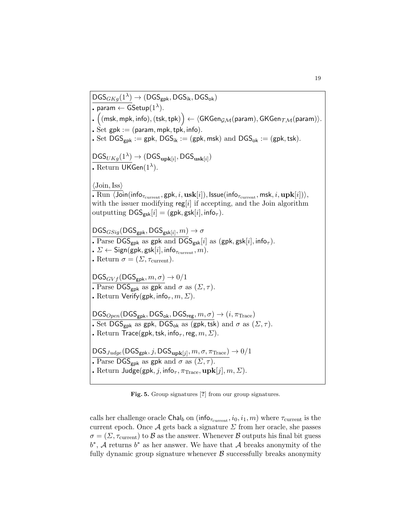$\mathsf{DGS}_{GKg}(1^\lambda) \to (\mathsf{DGS}_{\mathsf{gpk}}, \mathsf{DGS}_{\mathsf{ik}}, \mathsf{DGS}_{\mathsf{ok}})$ **.** param  $\leftarrow$  GSetup $(1^{\lambda})$ .  $. \left( \left( \mathsf{msk}, \mathsf{mpk}, \mathsf{info} \right), \left( \mathsf{tsk}, \mathsf{tpk} \right) \right) \leftarrow \left\langle \mathsf{GKGen}_{\mathcal{G}\mathcal{M}}(\mathsf{param}), \mathsf{GKGen}_{\mathcal{TM}}(\mathsf{param}) \right\rangle.$  $\text{Set}$  gpk := (param, mpk, tpk, info). Set  $\text{DGS}_{\text{gpk}} := \text{gpk}$ ,  $\text{DGS}_{ik} := (\text{gpk}, \text{msk})$  and  $\text{DGS}_{\text{ok}} := (\text{gpk}, \text{tsk})$ .  $\mathsf{DGS}_{UKg}(1^\lambda) \to (\mathsf{DGS}_{\textbf{upk}[i]}, \mathsf{DGS}_{\textbf{usk}[i]})$ **Return UKGen** $(1^{\lambda})$ .  $\langle$ Join, Iss $\rangle$ Run  $\langle$  Join(info<sub> $\tau_{\text{current}}$ </sub>, gpk,  $i$ , usk $[i]$ ), Issue(info $_{\tau_{\text{current}}}$ , msk,  $i$ , upk $[i]$ )), with the issuer modifying  $reg[i]$  if accepting, and the Join algorithm outputting  $\mathsf{DGS}_{\mathsf{gsk}}[i] = (\mathsf{gpk}, \mathsf{gsk}[i], \mathsf{info}_\tau).$  $\mathsf{DGS}_{GSig}(\mathsf{DGS}_{\mathsf{gpk}},\mathsf{DGS}_{\mathsf{gsk}[i]},m) \to \sigma$ **Parse DGS<sub>gpk</sub>** as gpk and  $\overline{\text{DGS}}_{\text{gsk}}[i]$  as (gpk, gsk[i], info<sub> $\tau$ </sub>).  $\mathcal{L} \leftarrow$  Sign(gpk, gsk[i], info<sub> $\tau_{\text{current}}$ </sub>,  $m$ ). Return  $\sigma = (\Sigma, \tau_{\text{current}}).$  $\text{DGS}_{GVf}(\text{DGS}_{\text{gpk}}, m, \sigma) \rightarrow 0/1$ **Parse DGS<sub>gpk</sub>** as gpk and  $\sigma$  as  $(\Sigma, \tau)$ . Return Verify(gpk, info<sub> $\tau$ </sub>,  $m$ ,  $\Sigma$ ).  $\mathsf{DGS}_{Open}(\mathsf{DGS}_{\mathsf{gpk}}, \mathsf{DGS}_{\mathsf{ok}}, \mathsf{DGS}_{\mathsf{reg}}, m, \sigma) \rightarrow (i, \pi_{\text{Trace}})$ Set DGS<sub>gpk</sub> as gpk, DGS<sub>ok</sub> as (gpk, tsk) and  $\sigma$  as  $(\Sigma, \tau)$ . Return Trace(gpk, tsk, info<sub>τ</sub>, reg,  $m, \Sigma$ ).  $\mathsf{DGS}_{Judge}(\mathsf{DGS}_{\mathsf{gpk}}, j, \mathsf{DGS}_{\mathbf{upk}[j]}, m, \sigma, \pi_{\text{Trace}}) \rightarrow 0/1$ Parse DGS<sub>gpk</sub> as gpk and  $\sigma$  as  $(\Sigma, \tau)$ . Return Judge(gpk, j, info<sub> $\tau$ </sub>,  $\pi_{\text{Trace}}, \text{upk}[j], m, \Sigma$ ).

Fig. 5. Group signatures [?] from our group signatures.

calls her challenge oracle  $\mathsf{Chal}_b$  on  $(\mathsf{info}_{\tau_{\text{current}}}, i_0, i_1, m)$  where  $\tau_{\text{current}}$  is the current epoch. Once A gets back a signature  $\Sigma$  from her oracle, she passes  $\sigma = (\Sigma, \tau_{\text{current}})$  to  $\beta$  as the answer. Whenever  $\beta$  outputs his final bit guess  $b^*$ , A returns  $b^*$  as her answer. We have that A breaks anonymity of the fully dynamic group signature whenever  $\beta$  successfully breaks anonymity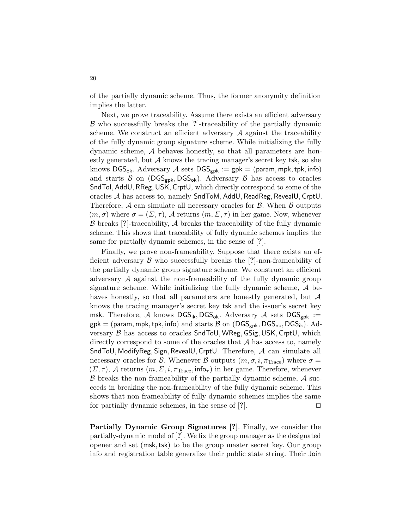of the partially dynamic scheme. Thus, the former anonymity definition implies the latter.

Next, we prove traceability. Assume there exists an efficient adversary  $\beta$  who successfully breaks the [?]-traceability of the partially dynamic scheme. We construct an efficient adversary  $A$  against the traceability of the fully dynamic group signature scheme. While initializing the fully dynamic scheme, A behaves honestly, so that all parameters are honestly generated, but  $A$  knows the tracing manager's secret key tsk, so she knows  $DGS_{ok}$ . Adversary A sets  $DGS_{gpk} := gpk = (param, mpk, tpk, info)$ and starts  $\beta$  on (DGS<sub>gpk</sub>, DGS<sub>ok</sub>). Adversary  $\beta$  has access to oracles SndTol, AddU, RReg, USK, CrptU, which directly correspond to some of the oracles A has access to, namely SndToM, AddU, ReadReg, RevealU, CrptU. Therefore,  $A$  can simulate all necessary oracles for  $B$ . When  $B$  outputs  $(m, \sigma)$  where  $\sigma = (\Sigma, \tau)$ , A returns  $(m, \Sigma, \tau)$  in her game. Now, whenever  $\beta$  breaks [?]-traceability,  $\lambda$  breaks the traceability of the fully dynamic scheme. This shows that traceability of fully dynamic schemes implies the same for partially dynamic schemes, in the sense of [?].

Finally, we prove non-frameability. Suppose that there exists an efficient adversary  $\beta$  who successfully breaks the [?]-non-frameability of the partially dynamic group signature scheme. We construct an efficient adversary A against the non-frameability of the fully dynamic group signature scheme. While initializing the fully dynamic scheme,  $A$  behaves honestly, so that all parameters are honestly generated, but A knows the tracing manager's secret key tsk and the issuer's secret key msk. Therefore, A knows  $\text{DGS}_{ik}$ ,  $\text{DGS}_{ok}$ . Adversary A sets  $\text{DGS}_{gpk}$  :=  $gpk = (param, mpk, tpk, info)$  and starts  $B$  on  $(DGS_{gpk}, DGS_{ok}, DGS_{ik})$ . Adversary  $\beta$  has access to oracles SndToU, WReg, GSig, USK, CrptU, which directly correspond to some of the oracles that  $A$  has access to, namely SndToU, ModifyReg, Sign, RevealU, CrptU. Therefore, A can simulate all necessary oracles for B. Whenever B outputs  $(m, \sigma, i, \pi_{\text{Trace}})$  where  $\sigma =$  $(\Sigma, \tau)$ , A returns  $(m, \Sigma, i, \pi_{\text{Trace}}, \text{info}_{\tau})$  in her game. Therefore, whenever  $\beta$  breaks the non-frameability of the partially dynamic scheme,  $\mathcal A$  succeeds in breaking the non-frameability of the fully dynamic scheme. This shows that non-frameability of fully dynamic schemes implies the same for partially dynamic schemes, in the sense of [?].  $\Box$ 

Partially Dynamic Group Signatures [?]. Finally, we consider the partially-dynamic model of [?]. We fix the group manager as the designated opener and set (msk,tsk) to be the group master secret key. Our group info and registration table generalize their public state string. Their Join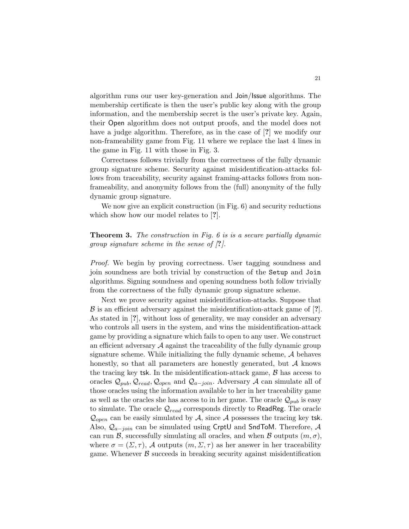algorithm runs our user key-generation and Join/Issue algorithms. The membership certificate is then the user's public key along with the group information, and the membership secret is the user's private key. Again, their Open algorithm does not output proofs, and the model does not have a judge algorithm. Therefore, as in the case of [?] we modify our non-frameability game from Fig. 11 where we replace the last 4 lines in the game in Fig. 11 with those in Fig. 3.

Correctness follows trivially from the correctness of the fully dynamic group signature scheme. Security against misidentification-attacks follows from traceability, security against framing-attacks follows from nonframeability, and anonymity follows from the (full) anonymity of the fully dynamic group signature.

We now give an explicit construction (in Fig. 6) and security reductions which show how our model relates to [?].

# Theorem 3. The construction in Fig. 6 is is a secure partially dynamic group signature scheme in the sense of  $\mathcal{P}$ .

Proof. We begin by proving correctness. User tagging soundness and join soundness are both trivial by construction of the Setup and Join algorithms. Signing soundness and opening soundness both follow trivially from the correctness of the fully dynamic group signature scheme.

Next we prove security against misidentification-attacks. Suppose that  $\beta$  is an efficient adversary against the misidentification-attack game of [?]. As stated in [?], without loss of generality, we may consider an adversary who controls all users in the system, and wins the misidentification-attack game by providing a signature which fails to open to any user. We construct an efficient adversary  $\mathcal A$  against the traceability of the fully dynamic group signature scheme. While initializing the fully dynamic scheme, A behaves honestly, so that all parameters are honestly generated, but  $A$  knows the tracing key tsk. In the misidentification-attack game,  $\beta$  has access to oracles  $\mathcal{Q}_{pub}$ ,  $\mathcal{Q}_{read}$ ,  $\mathcal{Q}_{open}$  and  $\mathcal{Q}_{a-join}$ . Adversary A can simulate all of those oracles using the information available to her in her traceability game as well as the oracles she has access to in her game. The oracle  $\mathcal{Q}_{pub}$  is easy to simulate. The oracle  $\mathcal{Q}_{read}$  corresponds directly to ReadReg. The oracle  $\mathcal{Q}_{open}$  can be easily simulated by A, since A possesses the tracing key tsk. Also,  $Q_{a-join}$  can be simulated using CrptU and SndToM. Therefore, A can run B, successfully simulating all oracles, and when B outputs  $(m, \sigma)$ , where  $\sigma = (\Sigma, \tau)$ , A outputs  $(m, \Sigma, \tau)$  as her answer in her traceability game. Whenever  $\beta$  succeeds in breaking security against misidentification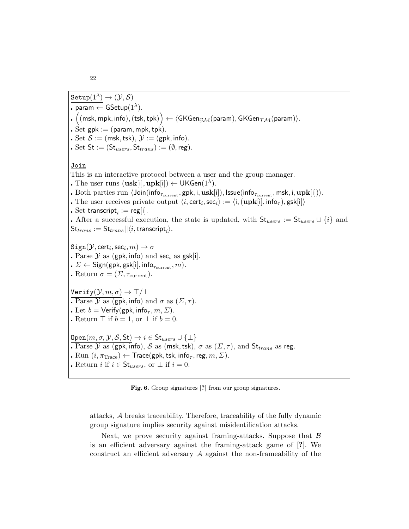$\texttt{Setup}(1^{\lambda}) \rightarrow (\mathcal{Y}, \mathcal{S})$ **.** param  $\leftarrow$  GSetup $(1^{\lambda})$ .  $\boldsymbol{\mu} \left( (\mathsf{msk}, \mathsf{mpk}, \mathsf{info}), (\mathsf{tsk}, \mathsf{tpk}) \right) \gets \langle \mathsf{GKGen}_{\mathcal{G}\mathcal{M}}(\mathsf{param}), \mathsf{GKGen}_{\mathcal{TM}}(\mathsf{param}) \rangle.$ Set  $gpk := (param, mpk, tpk).$ Set  $S := (msk,tsk),$   $\mathcal{Y} := (gpk, info).$ Set  $St := (St_{users}, St_{trans}) := (\emptyset, \text{reg}).$ Join This is an interactive protocol between a user and the group manager. The user runs  $(\textbf{usk}[i], \textbf{upk}[i]) \leftarrow \text{UKGen}(1^{\lambda}).$ Both parties run  $\langle$ Join(info<sub> $\tau_{\rm current}$ </sub>, gpk, i, usk[i]), Issue(info $_{\tau_{\rm current}}$ , msk, i, upk[i])). The user receives private output  $\langle i, \text{cert}_i, \text{sec}_i \rangle := \langle i, (\text{upk}[i], \text{info}_{\tau}), \text{gsk}[i] \rangle$ . Set transcript $_i := \mathsf{reg}[{\mathsf{i}}].$ After a successful execution, the state is updated, with  $St_{users} := St_{users} \cup \{i\}$  and  ${\sf St}_{trans}:= {\sf St}_{trans} ||\langle i,{\sf transcript}_i\rangle.$  $\texttt{Sign}(\mathcal{Y},\textsf{cert}_i,\textsf{sec}_i,m) \rightarrow \sigma$ . Parse  $\mathcal Y$  as (gpk, info) and sec<sub>i</sub> as gsk[i].  $\mathcal{L} \leftarrow$  Sign(gpk, gsk[i], info<sub> $\tau_{\text{current}}$ </sub>,  $m$ ). Return  $\sigma = (\Sigma, \tau_{\text{current}}).$ Verify $(\mathcal{Y}, m, \sigma) \to \top/\bot$ **Parse**  $\mathcal Y$  as (gpk, info) and  $\sigma$  as  $(\Sigma, \tau)$ . Let  $b = \mathsf{Verify}(\mathsf{gpk}, \mathsf{info}_{\tau}, m, \Sigma)$ . Return  $\top$  if  $b = 1$ , or  $\bot$  if  $b = 0$ .  $Open(m, \sigma, \mathcal{Y}, \mathcal{S}, \mathsf{St}) \rightarrow i \in \mathsf{St}_{users} \cup \{\perp\}$ **Parse** y as (gpk, info), S as (msk, tsk),  $\sigma$  as  $(\Sigma, \tau)$ , and  $St_{trans}$  as reg. **.** Run  $(i, \pi_{\text{Trace}}) \leftarrow \text{Trace}(\text{gpk}, \text{tsk}, \text{info}_{\tau}, \text{reg}, m, \Sigma).$ **.** Return *i* if  $i \in$  St<sub>users</sub>, or ⊥ if  $i = 0$ .

Fig. 6. Group signatures [?] from our group signatures.

attacks, A breaks traceability. Therefore, traceability of the fully dynamic group signature implies security against misidentification attacks.

Next, we prove security against framing-attacks. Suppose that  $\beta$ is an efficient adversary against the framing-attack game of [?]. We construct an efficient adversary  $A$  against the non-frameability of the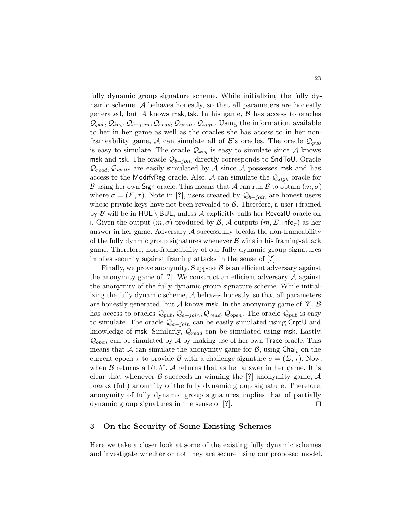fully dynamic group signature scheme. While initializing the fully dynamic scheme,  $A$  behaves honestly, so that all parameters are honestly generated, but  $A$  knows msk, tsk. In his game,  $B$  has access to oracles  $\mathcal{Q}_{pub}, \mathcal{Q}_{key}, \mathcal{Q}_{b-join}, \mathcal{Q}_{read}, \mathcal{Q}_{write}, \mathcal{Q}_{sign}.$  Using the information available to her in her game as well as the oracles she has access to in her nonframeability game, A can simulate all of  $\mathcal{B}$ 's oracles. The oracle  $\mathcal{Q}_{pub}$ is easy to simulate. The oracle  $\mathcal{Q}_{key}$  is easy to simulate since A knows msk and tsk. The oracle  $\mathcal{Q}_{b-join}$  directly corresponds to SndToU. Oracle  $\mathcal{Q}_{read}, \mathcal{Q}_{write}$  are easily simulated by A since A possesses msk and has access to the ModifyReg oracle. Also, A can simulate the  $\mathcal{Q}_{sian}$  oracle for B using her own Sign oracle. This means that A can run B to obtain  $(m, \sigma)$ where  $\sigma = (\Sigma, \tau)$ . Note in [?], users created by  $\mathcal{Q}_{b-join}$  are honest users whose private keys have not been revealed to  $\beta$ . Therefore, a user i framed by  $\beta$  will be in HUL \ BUL, unless  $\mathcal A$  explicitly calls her RevealU oracle on i. Given the output  $(m, \sigma)$  produced by  $\mathcal{B}$ ,  $\mathcal{A}$  outputs  $(m, \Sigma, \text{info}_{\tau})$  as her answer in her game. Adversary  $A$  successfully breaks the non-frameability of the fully dynmic group signatures whenever  $\beta$  wins in his framing-attack game. Therefore, non-frameability of our fully dynamic group signatures implies security against framing attacks in the sense of [?].

Finally, we prove anonymity. Suppose  $\beta$  is an efficient adversary against the anonymity game of [?]. We construct an efficient adversary  $A$  against the anonymity of the fully-dynamic group signature scheme. While initializing the fully dynamic scheme, A behaves honestly, so that all parameters are honestly generated, but A knows msk. In the anonymity game of [?],  $\beta$ has access to oracles  $\mathcal{Q}_{pub}, \mathcal{Q}_{a-join}, \mathcal{Q}_{read}, \mathcal{Q}_{open}.$  The oracle  $\mathcal{Q}_{pub}$  is easy to simulate. The oracle  $\mathcal{Q}_{a-join}$  can be easily simulated using CrptU and knowledge of msk. Similarly,  $\mathcal{Q}_{read}$  can be simulated using msk. Lastly,  $\mathcal{Q}_{open}$  can be simulated by A by making use of her own Trace oracle. This means that A can simulate the anonymity game for  $\mathcal{B}$ , using Chal<sub>b</sub> on the current epoch  $\tau$  to provide  $\mathcal B$  with a challenge signature  $\sigma = (\Sigma, \tau)$ . Now, when  $\beta$  returns a bit  $b^*$ ,  $\mathcal A$  returns that as her answer in her game. It is clear that whenever  $\beta$  succeeds in winning the [?] anonymity game,  $\mathcal A$ breaks (full) anonmity of the fully dynamic group signature. Therefore, anonymity of fully dynamic group signatures implies that of partially dynamic group signatures in the sense of [?].  $\Box$ 

### 3 On the Security of Some Existing Schemes

Here we take a closer look at some of the existing fully dynamic schemes and investigate whether or not they are secure using our proposed model.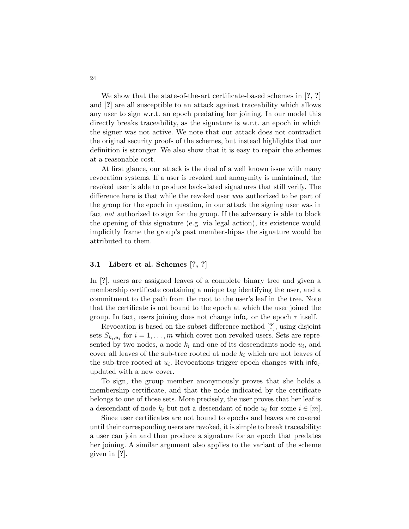We show that the state-of-the-art certificate-based schemes in [?, ?] and [?] are all susceptible to an attack against traceability which allows any user to sign w.r.t. an epoch predating her joining. In our model this directly breaks traceability, as the signature is w.r.t. an epoch in which the signer was not active. We note that our attack does not contradict the original security proofs of the schemes, but instead highlights that our definition is stronger. We also show that it is easy to repair the schemes at a reasonable cost.

At first glance, our attack is the dual of a well known issue with many revocation systems. If a user is revoked and anonymity is maintained, the revoked user is able to produce back-dated signatures that still verify. The difference here is that while the revoked user was authorized to be part of the group for the epoch in question, in our attack the signing user was in fact not authorized to sign for the group. If the adversary is able to block the opening of this signature (e.g. via legal action), its existence would implicitly frame the group's past membershipas the signature would be attributed to them.

#### 3.1 Libert et al. Schemes [?, ?]

In [?], users are assigned leaves of a complete binary tree and given a membership certificate containing a unique tag identifying the user, and a commitment to the path from the root to the user's leaf in the tree. Note that the certificate is not bound to the epoch at which the user joined the group. In fact, users joining does not change info<sub> $\tau$ </sub> or the epoch  $\tau$  itself.

Revocation is based on the subset difference method [?], using disjoint sets  $S_{k_i, u_i}$  for  $i = 1, ..., m$  which cover non-revoked users. Sets are represented by two nodes, a node  $k_i$  and one of its descendants node  $u_i$ , and cover all leaves of the sub-tree rooted at node  $k_i$  which are not leaves of the sub-tree rooted at  $u_i$ . Revocations trigger epoch changes with  $\mathsf{info}_{\tau}$ updated with a new cover.

To sign, the group member anonymously proves that she holds a membership certificate, and that the node indicated by the certificate belongs to one of those sets. More precisely, the user proves that her leaf is a descendant of node  $k_i$  but not a descendant of node  $u_i$  for some  $i \in [m]$ .

Since user certificates are not bound to epochs and leaves are covered until their corresponding users are revoked, it is simple to break traceability: a user can join and then produce a signature for an epoch that predates her joining. A similar argument also applies to the variant of the scheme given in [?].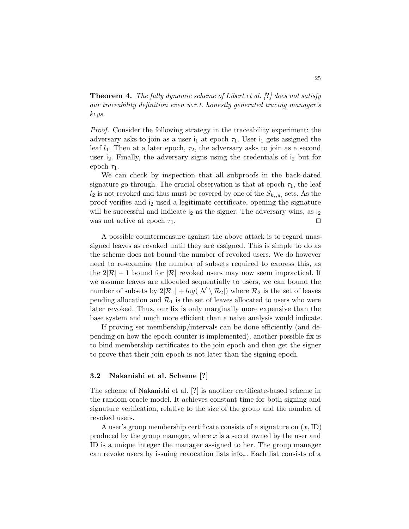**Theorem 4.** The fully dynamic scheme of Libert et al.  $\left[\frac{1}{2}\right]$  does not satisfy our traceability definition even w.r.t. honestly generated tracing manager's keys.

Proof. Consider the following strategy in the traceability experiment: the adversary asks to join as a user  $i_1$  at epoch  $\tau_1$ . User  $i_1$  gets assigned the leaf  $l_1$ . Then at a later epoch,  $\tau_2$ , the adversary asks to join as a second user i<sub>2</sub>. Finally, the adversary signs using the credentials of i<sub>2</sub> but for epoch  $\tau_1$ .

We can check by inspection that all subproofs in the back-dated signature go through. The crucial observation is that at epoch  $\tau_1$ , the leaf  $l_2$  is not revoked and thus must be covered by one of the  $S_{k_i, u_i}$  sets. As the proof verifies and i<sup>2</sup> used a legitimate certificate, opening the signature will be successful and indicate  $i_2$  as the signer. The adversary wins, as  $i_2$ was not active at epoch  $\tau_1$ .

A possible countermeasure against the above attack is to regard unassigned leaves as revoked until they are assigned. This is simple to do as the scheme does not bound the number of revoked users. We do however need to re-examine the number of subsets required to express this, as the  $2|\mathcal{R}| - 1$  bound for  $|\mathcal{R}|$  revoked users may now seem impractical. If we assume leaves are allocated sequentially to users, we can bound the number of subsets by  $2|\mathcal{R}_1| + log(|\mathcal{N} \setminus \mathcal{R}_2|)$  where  $\mathcal{R}_2$  is the set of leaves pending allocation and  $\mathcal{R}_1$  is the set of leaves allocated to users who were later revoked. Thus, our fix is only marginally more expensive than the base system and much more efficient than a naive analysis would indicate.

If proving set membership/intervals can be done efficiently (and depending on how the epoch counter is implemented), another possible fix is to bind membership certificates to the join epoch and then get the signer to prove that their join epoch is not later than the signing epoch.

### 3.2 Nakanishi et al. Scheme [?]

The scheme of Nakanishi et al. [?] is another certificate-based scheme in the random oracle model. It achieves constant time for both signing and signature verification, relative to the size of the group and the number of revoked users.

A user's group membership certificate consists of a signature on  $(x, \text{ID})$ produced by the group manager, where  $x$  is a secret owned by the user and ID is a unique integer the manager assigned to her. The group manager can revoke users by issuing revocation lists info<sub> $\tau$ </sub>. Each list consists of a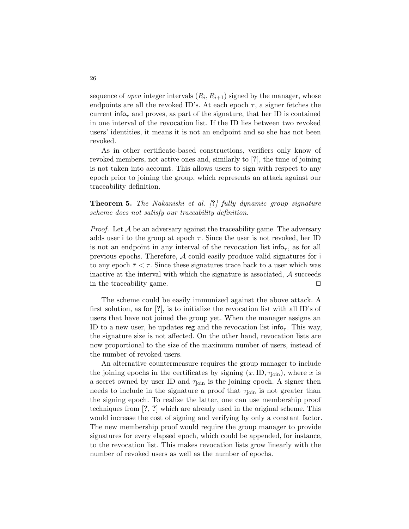sequence of *open* integer intervals  $(R_i, R_{i+1})$  signed by the manager, whose endpoints are all the revoked ID's. At each epoch  $\tau$ , a signer fetches the current info<sub> $\tau$ </sub> and proves, as part of the signature, that her ID is contained in one interval of the revocation list. If the ID lies between two revoked users' identities, it means it is not an endpoint and so she has not been revoked.

As in other certificate-based constructions, verifiers only know of revoked members, not active ones and, similarly to [?], the time of joining is not taken into account. This allows users to sign with respect to any epoch prior to joining the group, which represents an attack against our traceability definition.

**Theorem 5.** The Nakanishi et al.  $\left[\frac{?}{} \right]$  fully dynamic group signature scheme does not satisfy our traceability definition.

*Proof.* Let  $A$  be an adversary against the traceability game. The adversary adds user i to the group at epoch  $\tau$ . Since the user is not revoked, her ID is not an endpoint in any interval of the revocation list  $\text{info}_{\tau}$ , as for all previous epochs. Therefore,  $A$  could easily produce valid signatures for i to any epoch  $\bar{\tau} < \tau$ . Since these signatures trace back to a user which was inactive at the interval with which the signature is associated,  $A$  succeeds in the traceability game.  $\square$ 

The scheme could be easily immunized against the above attack. A first solution, as for [?], is to initialize the revocation list with all ID's of users that have not joined the group yet. When the manager assigns an ID to a new user, he updates reg and the revocation list info<sub> $\tau$ </sub>. This way, the signature size is not affected. On the other hand, revocation lists are now proportional to the size of the maximum number of users, instead of the number of revoked users.

An alternative countermeasure requires the group manager to include the joining epochs in the certificates by signing  $(x, \text{ID}, \tau_{\text{join}})$ , where x is a secret owned by user ID and  $\tau_{\text{join}}$  is the joining epoch. A signer then needs to include in the signature a proof that  $\tau_{\text{join}}$  is not greater than the signing epoch. To realize the latter, one can use membership proof techniques from [?, ?] which are already used in the original scheme. This would increase the cost of signing and verifying by only a constant factor. The new membership proof would require the group manager to provide signatures for every elapsed epoch, which could be appended, for instance, to the revocation list. This makes revocation lists grow linearly with the number of revoked users as well as the number of epochs.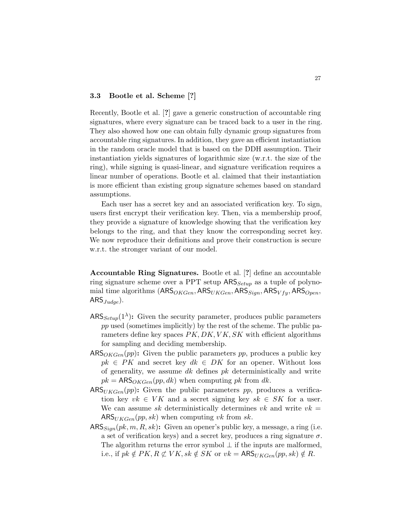### 3.3 Bootle et al. Scheme [?]

Recently, Bootle et al. [?] gave a generic construction of accountable ring signatures, where every signature can be traced back to a user in the ring. They also showed how one can obtain fully dynamic group signatures from accountable ring signatures. In addition, they gave an efficient instantiation in the random oracle model that is based on the DDH assumption. Their instantiation yields signatures of logarithmic size (w.r.t. the size of the ring), while signing is quasi-linear, and signature verification requires a linear number of operations. Bootle et al. claimed that their instantiation is more efficient than existing group signature schemes based on standard assumptions.

Each user has a secret key and an associated verification key. To sign, users first encrypt their verification key. Then, via a membership proof, they provide a signature of knowledge showing that the verification key belongs to the ring, and that they know the corresponding secret key. We now reproduce their definitions and prove their construction is secure w.r.t. the stronger variant of our model.

Accountable Ring Signatures. Bootle et al. [?] define an accountable ring signature scheme over a PPT setup  $ARS_{Setup}$  as a tuple of polynomial time algorithms  $(ARS_{OKGen},ARS_{UKGen},ARS_{Sign},ARS_{Vfy},ARS_{Open},$  $ARS_{Judge}$ ).

- $ARS_{Setup}(1^{\lambda})$ : Given the security parameter, produces public parameters pp used (sometimes implicitly) by the rest of the scheme. The public parameters define key spaces  $PK, DK, VK, SK$  with efficient algorithms for sampling and deciding membership.
- $ARS<sub>OKGen</sub>(pp)$ : Given the public parameters pp, produces a public key  $pk \in PK$  and secret key  $dk \in DK$  for an opener. Without loss of generality, we assume  $dk$  defines  $pk$  deterministically and write  $pk = \text{ARS}_{OKGen}(pp, dk)$  when computing pk from dk.
- $ARS_{UKGen}(pp)$ : Given the public parameters pp, produces a verification key  $vk \in VK$  and a secret signing key  $sk \in SK$  for a user. We can assume sk deterministically determines vk and write  $vk =$  $ARS_{UKGen}(pp, sk)$  when computing vk from sk.
- $ARS<sub>Sian</sub>(pk, m, R, sk)$ : Given an opener's public key, a message, a ring (i.e. a set of verification keys) and a secret key, produces a ring signature  $\sigma$ . The algorithm returns the error symbol  $\perp$  if the inputs are malformed, i.e., if  $pk \notin PK, R \not\subset VK, sk \notin SK$  or  $vk = \mathsf{ARS}_{UKGen}(pp, sk) \notin R$ .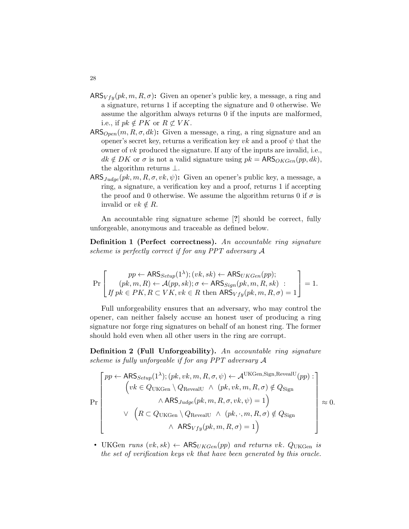- $ARS_{Vfv}(pk, m, R, \sigma)$ : Given an opener's public key, a message, a ring and a signature, returns 1 if accepting the signature and 0 otherwise. We assume the algorithm always returns 0 if the inputs are malformed, i.e., if  $pk \notin PK$  or  $R \not\subset VK$ .
- $ARS<sub>Open</sub>(m, R, \sigma, dk)$ : Given a message, a ring, a ring signature and an opener's secret key, returns a verification key  $vk$  and a proof  $\psi$  that the owner of vk produced the signature. If any of the inputs are invalid, i.e.,  $dk \notin DK$  or  $\sigma$  is not a valid signature using  $pk = \mathsf{ARS}_{OKGen}(pp, dk)$ , the algorithm returns ⊥.
- $\mathsf{ARS}_{Judoe}(pk, m, R, \sigma, vk, \psi)$ : Given an opener's public key, a message, a ring, a signature, a verification key and a proof, returns 1 if accepting the proof and 0 otherwise. We assume the algorithm returns 0 if  $\sigma$  is invalid or  $vk \notin R$ .

An accountable ring signature scheme [?] should be correct, fully unforgeable, anonymous and traceable as defined below.

Definition 1 (Perfect correctness). An accountable ring signature scheme is perfectly correct if for any PPT adversary A

$$
\Pr\left[\begin{matrix}pp \leftarrow \mathsf{ARS}_{Setup}(1^{\lambda}); (vk, sk) \leftarrow \mathsf{ARS}_{UKGen}(pp);\\ (pk, m, R) \leftarrow \mathcal{A}(pp, sk); \sigma \leftarrow \mathsf{ARS}_{Sign}(pk, m, R, sk):\\ \text{If } pk \in PK, R \subset VK, vk \in R \text{ then } \mathsf{ARS}_{Vfy}(pk, m, R, \sigma) = 1 \end{matrix}\right] = 1.
$$

Full unforgeability ensures that an adversary, who may control the opener, can neither falsely accuse an honest user of producing a ring signature nor forge ring signatures on behalf of an honest ring. The former should hold even when all other users in the ring are corrupt.

Definition 2 (Full Unforgeability). An accountable ring signature scheme is fully unforgeable if for any PPT adversary A

$$
\Pr \left[\n\begin{array}{c}\npp \leftarrow \mathsf{ARS}_{Setup}(1^{\lambda});(pk, vk, m, R, \sigma, \psi) \leftarrow \mathcal{A}^{UKGen,Sign,ReveallU}(pp):\n\\ \n\left(vk \in Q_{UKGen} \setminus Q_{ReveallU} \land (pk, vk, m, R, \sigma) \notin Q_{Sign} \right. \\\n\leftarrow \mathsf{ARS}_{Judge}(pk, m, R, \sigma, vk, \psi) = 1\n\end{array}\n\right]\n\approx 0.\n\right]
$$
\n
$$
\vee \left(R \subset Q_{UKGen} \setminus Q_{ReveallU} \land (pk, \cdot, m, R, \sigma) \notin Q_{Sign} \right]\n\approx 0.
$$

• UKGen runs  $(vk, sk) \leftarrow \text{ARS}_{UKGen}(pp)$  and returns vk.  $Q_{UKGen}$  is the set of verification keys vk that have been generated by this oracle.

28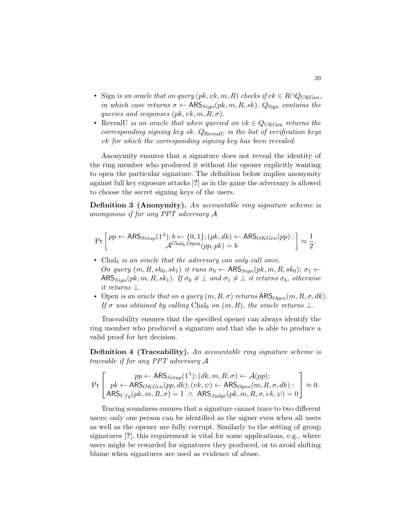- Sign is an oracle that on query  $(pk, vk, m, R)$  checks if  $vk \in R \cap Q_{UKGen}$ , in which case returns  $\sigma \leftarrow \text{ARS}_{Sign}(pk, m, R, sk)$ .  $Q_{Sign}$  contains the queries and responses  $(pk, vk, m, R, \sigma)$ .
- RevealU is an oracle that when queried on  $vk \in Q_{UKGen}$  returns the corresponding signing key sk.  $Q_{\text{Reveall}}$  is the list of verification keys vk for which the corresponding signing key has been revealed.

Anonymity ensures that a signature does not reveal the identity of the ring member who produced it without the opener explicitly wanting to open the particular signature. The definition below implies anonymity against full key exposure attacks [?] as in the game the adversary is allowed to choose the secret signing keys of the users.

Definition 3 (Anonymity). An accountable ring signature scheme is anonymous if for any PPT adversary A

$$
\Pr\left[\mathit{pp} \leftarrow \mathsf{ARS}_{Setup}(1^{\lambda}); b \leftarrow \{0, 1\}; (\mathit{pk}, \mathit{dk}) \leftarrow \mathsf{ARS}_{OKGen}(\mathit{pp}): \right] \approx \frac{1}{2}.
$$

- Chal<sub>b</sub> is an oracle that the adversary can only call once. On query  $(m, R, sk_0, sk_1)$  it runs  $\sigma_0 \leftarrow \text{ARS}_{Sign}(pk, m, R, sk_0); \sigma_1 \leftarrow$ ARS $_{Sign}(pk, m, R, sk_1)$ . If  $\sigma_0 \neq \bot$  and  $\sigma_1 \neq \bot$  it returns  $\sigma_b$ , otherwise it returns ⊥.
- Open is an oracle that on a query  $(m, R, \sigma)$  returns  $\mathsf{ARS}_{Open}(m, R, \sigma, dk)$ . If  $\sigma$  was obtained by calling Chal<sub>b</sub> on  $(m, R)$ , the oracle returns  $\bot$ .

Traceability ensures that the specified opener can always identify the ring member who produced a signature and that she is able to produce a valid proof for her decision.

Definition 4 (Traceability). An accountable ring signature scheme is traceable if for any PPT adversary A

$$
\Pr\left[\begin{matrix}pp \leftarrow \mathsf{ARS}_{Setup}(1^{\lambda});(dk,m,R,\sigma) \leftarrow \mathcal{A}(pp);\\pk \leftarrow \mathsf{ARS}_{OKGen}(pp,dk);(vk,\psi) \leftarrow \mathsf{ARS}_{Open}(m,R,\sigma,dk):\\ \mathsf{ARS}_{Vfy}(pk,m,R,\sigma) = 1 \; \wedge \; \mathsf{ARS}_{Judge}(pk,m,R,\sigma,vk,\psi) = 0\end{matrix}\right] \approx 0.
$$

Tracing soundness ensures that a signature cannot trace to two different users; only one person can be identified as the signer even when all users as well as the opener are fully corrupt. Similarly to the setting of group signatures [?], this requirement is vital for some applications, e.g., where users might be rewarded for signatures they produced, or to avoid shifting blame when signatures are used as evidence of abuse.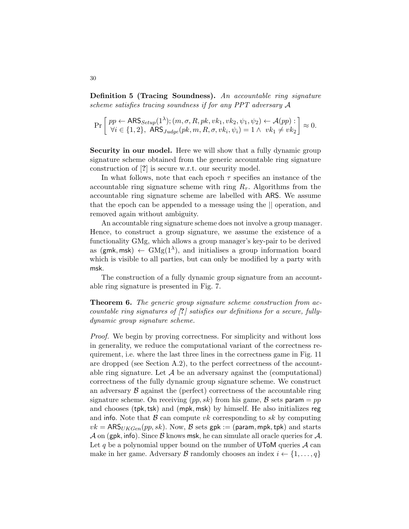Definition 5 (Tracing Soundness). An accountable ring signature scheme satisfies tracing soundness if for any PPT adversary A

$$
\Pr\left[\begin{array}{l}pp \leftarrow \mathsf{ARS}_{Setup}(1^{\lambda}); (m, \sigma, R, pk, vk_1, vk_2, \psi_1, \psi_2) \leftarrow \mathcal{A}(pp): \\ \forall i \in \{1, 2\}, \; \mathsf{ARS}_{Judge}(pk, m, R, \sigma, vki, \psi_i) = 1 \wedge vk_1 \neq vk_2\end{array}\right] \approx 0.
$$

Security in our model. Here we will show that a fully dynamic group signature scheme obtained from the generic accountable ring signature construction of [?] is secure w.r.t. our security model.

In what follows, note that each epoch  $\tau$  specifies an instance of the accountable ring signature scheme with ring  $R_{\tau}$ . Algorithms from the accountable ring signature scheme are labelled with ARS. We assume that the epoch can be appended to a message using the || operation, and removed again without ambiguity.

An accountable ring signature scheme does not involve a group manager. Hence, to construct a group signature, we assume the existence of a functionality GMg, which allows a group manager's key-pair to be derived as (gmk, msk)  $\leftarrow$  GMg(1<sup> $\lambda$ </sup>), and initialises a group information board which is visible to all parties, but can only be modified by a party with msk.

The construction of a fully dynamic group signature from an accountable ring signature is presented in Fig. 7.

**Theorem 6.** The generic group signature scheme construction from accountable ring signatures of [?] satisfies our definitions for a secure, fullydynamic group signature scheme.

Proof. We begin by proving correctness. For simplicity and without loss in generality, we reduce the computational variant of the correctness requirement, i.e. where the last three lines in the correctness game in Fig. 11 are dropped (see Section A.2), to the perfect correctness of the accountable ring signature. Let  $A$  be an adversary against the (computational) correctness of the fully dynamic group signature scheme. We construct an adversary  $\beta$  against the (perfect) correctness of the accountable ring signature scheme. On receiving  $(pp, sk)$  from his game,  $\beta$  sets param  $= pp$ and chooses (tpk,tsk) and (mpk, msk) by himself. He also initializes reg and info. Note that  $\beta$  can compute vk corresponding to sk by computing  $vk = \text{ARS}_{UKGen}(pp, sk)$ . Now, B sets gpk := (param, mpk, tpk) and starts  $\mathcal A$  on (gpk, info). Since  $\mathcal B$  knows msk, he can simulate all oracle queries for  $\mathcal A$ . Let q be a polynomial upper bound on the number of UToM queries  $\mathcal A$  can make in her game. Adversary B randomly chooses an index  $i \leftarrow \{1, \ldots, q\}$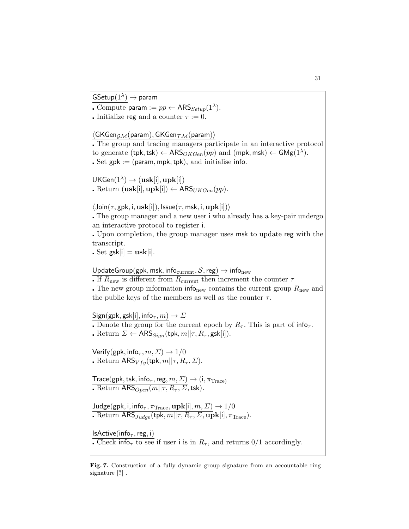$\mathsf{GSetup}(1^\lambda)\to\mathsf{param}$ Compute param :=  $pp \leftarrow \mathsf{ARS}_{Setup}(1^{\lambda})$ . Initialize reg and a counter  $\tau := 0$ .  $\langle$ GKGen $_{\mathcal{GM}}$ (param), GKGen $_{\mathcal{TM}}$ (param) $\rangle$  The group and tracing managers participate in an interactive protocol to generate  $(\textsf{tpk}, \textsf{tsk}) \leftarrow \mathsf{ARS}_{OKGen}(pp)$  and  $(\textsf{mpk}, \textsf{msk}) \leftarrow \mathsf{GMg}(1^\lambda).$ Set  $gph := (param, mpk, tpk)$ , and initialise info.  $UKGen(1^{\lambda}) \rightarrow (usk[i], upk[i])$ Return  $(\mathbf{usk}[i], \mathbf{upk}[i]) \leftarrow \mathsf{ARS}_{UKGen}(pp)$ .  $\langle$ Join $(\tau,$  gpk, i, usk[i]), Issue $(\tau,$  msk, i, upk[i]) $\rangle$  The group manager and a new user i who already has a key-pair undergo an interactive protocol to register i. Upon completion, the group manager uses msk to update reg with the transcript. Set gsk $[i] = \text{usk}[i]$ . UpdateGroup(gpk, msk, info $_{\text{current}}$ ,  $S$ , reg)  $\rightarrow$  info<sub>new</sub> If  $R_{\text{new}}$  is different from  $R_{\text{current}}$  then increment the counter  $\tau$ The new group information info<sub>new</sub> contains the current group  $R_{\text{new}}$  and the public keys of the members as well as the counter  $\tau$ .  $Sign(gpk, gsk[i], info_\tau, m) \rightarrow \Sigma$ Denote the group for the current epoch by  $R_{\tau}$ . This is part of info<sub> $\tau$ </sub>. Return  $\Sigma \leftarrow \mathsf{ARS}_{Sign}(\textsf{tpk}, m || \tau, R_{\tau}, \textsf{gsk}[i]).$  ${\sf Verify}({\sf gpk},\allowbreak {\sf info}_{\tau},\allowbreak m,\allowbreak \varSigma)\rightarrow 1/0$ **Return ARS** $V_{fy}$ (tpk, m|| $\tau$ ,  $R_{\tau}$ ,  $\Sigma$ ).  $Trace(gpk,tsk, info_\tau,reg, m, \Sigma) \rightarrow (i, \pi_{Trace})$ Return ARS $_{Open}(m||\tau, R_{\tau}, \Sigma, \text{tsk}).$  $\mathsf{Judge}(\mathsf{gpk},\mathsf{i},\mathsf{info}_\tau,\pi_{\text{Trace}},\mathbf{upk}[\mathsf{i}],m,\Sigma)\rightarrow 1/0$ **Return ARS** $_{Judge}$ (tpk,  $m||\tau, R_{\tau}, \Sigma$ , upk[i],  $\pi_{\text{Trace}}$ ). IsActive(info<sub> $\tau$ </sub>, reg, i) Check info<sub>τ</sub> to see if user i is in  $R_{\tau}$ , and returns 0/1 accordingly.

Fig. 7. Construction of a fully dynamic group signature from an accountable ring signature [?] .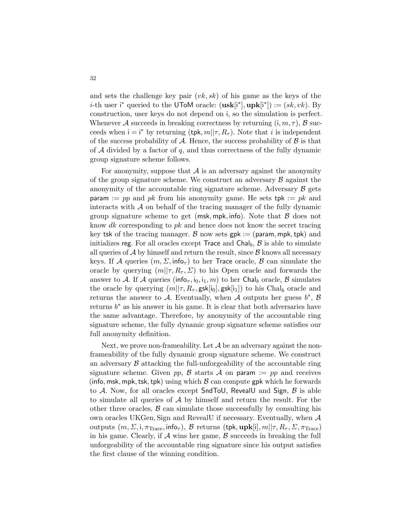and sets the challenge key pair  $(vk, sk)$  of his game as the keys of the *i*-th user i<sup>\*</sup> queried to the UToM oracle:  $(\textbf{usk}[i^*], \textbf{upk}[i^*]) := (sk, vk)$ . By construction, user keys do not depend on i, so the simulation is perfect. Whenever A succeeds in breaking correctness by returning  $(i, m, \tau)$ , B succeeds when  $i = i^*$  by returning  $(\text{tpk}, m || \tau, R_{\tau})$ . Note that i is independent of the success probability of  $A$ . Hence, the success probability of  $B$  is that of  $A$  divided by a factor of  $q$ , and thus correctness of the fully dynamic group signature scheme follows.

For anonymity, suppose that  $A$  is an adversary against the anonymity of the group signature scheme. We construct an adversary  $\beta$  against the anonymity of the accountable ring signature scheme. Adversary  $\beta$  gets param := pp and pk from his anonymity game. He sets tpk := pk and interacts with  $A$  on behalf of the tracing manager of the fully dynamic group signature scheme to get (msk, mpk, info). Note that  $\beta$  does not know dk corresponding to pk and hence does not know the secret tracing key tsk of the tracing manager. B now sets  $gpk := (param, mpk, tpk)$  and initializes reg. For all oracles except Trace and  $Chal_b, B$  is able to simulate all queries of  $\mathcal A$  by himself and return the result, since  $\mathcal B$  knows all necessary keys. If A queries  $(m, \Sigma, \text{info}_{\tau})$  to her Trace oracle, B can simulate the oracle by querying  $(m||\tau, R_{\tau}, \Sigma)$  to his Open oracle and forwards the answer to A. If A queries (info<sub>r</sub>,  $i_0$ ,  $i_1$ , m) to her Chal<sub>b</sub> oracle, B simulates the oracle by querying  $(m||\tau, R_{\tau}, g\text{sk}[i_0], g\text{sk}[i_1])$  to his Chal<sub>b</sub> oracle and returns the answer to A. Eventually, when A outputs her guess  $b^*$ , B returns  $b^*$  as his answer in his game. It is clear that both adversaries have the same advantage. Therefore, by anonymity of the accountable ring signature scheme, the fully dynamic group signature scheme satisfies our full anonymity definition.

Next, we prove non-frameability. Let  $A$  be an adversary against the nonframeability of the fully dynamic group signature scheme. We construct an adversary  $\beta$  attacking the full-unforgeability of the accountable ring signature scheme. Given pp, B starts A on param := pp and receives (info, msk, mpk, tsk, tpk) using which  $\beta$  can compute gpk which he forwards to A. Now, for all oracles except  $SndTol$ , RevealU and  $Sign, B$  is able to simulate all queries of A by himself and return the result. For the other three oracles,  $\beta$  can simulate those successfully by consulting his own oracles UKGen, Sign and RevealU if necessary. Eventually, when A outputs  $(m, \Sigma, \mathbf{i}, \pi_{\text{Trace}}, \mathsf{info}_{\tau})$ , B returns (tpk, upk[i],  $m||\tau, R_{\tau}, \Sigma, \pi_{\text{Trace}}$ ) in his game. Clearly, if  $\mathcal A$  wins her game,  $\mathcal B$  succeeds in breaking the full unforgeability of the accountable ring signature since his output satisfies the first clause of the winning condition.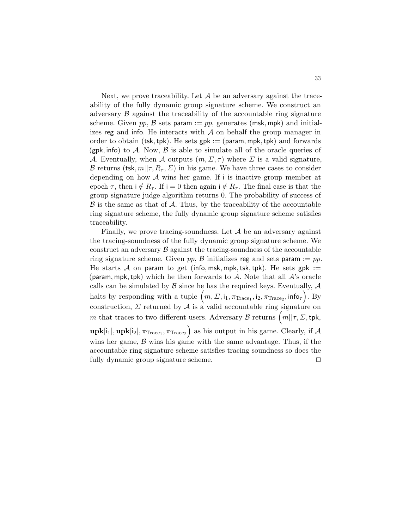Next, we prove traceability. Let  $A$  be an adversary against the traceability of the fully dynamic group signature scheme. We construct an adversary  $\beta$  against the traceability of the accountable ring signature scheme. Given pp, B sets param := pp, generates (msk, mpk) and initializes reg and info. He interacts with  $A$  on behalf the group manager in order to obtain (tsk, tpk). He sets  $gpk := (param, mpk, tpk)$  and forwards (gpk, info) to A. Now,  $\beta$  is able to simulate all of the oracle queries of A. Eventually, when A outputs  $(m, \Sigma, \tau)$  where  $\Sigma$  is a valid signature, B returns (tsk,  $m||\tau, R_{\tau}, \Sigma$ ) in his game. We have three cases to consider depending on how  $A$  wins her game. If i is inactive group member at epoch  $\tau$ , then  $i \notin R_{\tau}$ . If  $i = 0$  then again  $i \notin R_{\tau}$ . The final case is that the group signature judge algorithm returns 0. The probability of success of  $\beta$  is the same as that of  $\mathcal A$ . Thus, by the traceability of the accountable ring signature scheme, the fully dynamic group signature scheme satisfies traceability.

Finally, we prove tracing-soundness. Let  $A$  be an adversary against the tracing-soundness of the fully dynamic group signature scheme. We construct an adversary  $\beta$  against the tracing-soundness of the accountable ring signature scheme. Given pp,  $\beta$  initializes reg and sets param := pp. He starts A on param to get (info, msk, mpk, tsk, tpk). He sets gpk := (param, mpk, tpk) which he then forwards to A. Note that all  $\mathcal{A}$ 's oracle calls can be simulated by  ${\mathcal B}$  since he has the required keys. Eventually,  ${\mathcal A}$ halts by responding with a tuple  $(m, \Sigma, i_1, \pi_{\text{Trace}_1}, i_2, \pi_{\text{Trace}_2}, \textsf{info}_{\tau})$ . By construction,  $\Sigma$  returned by  $\mathcal A$  is a valid accountable ring signature on m that traces to two different users. Adversary  $\mathcal B$  returns  $\left(m||\tau,\Sigma,\text{tpk},\right)$  $\textbf{upk}[i_1], \textbf{upk}[i_2], \pi_{\text{Trace}_1}, \pi_{\text{Trace}_2}$  as his output in his game. Clearly, if A

wins her game,  $\beta$  wins his game with the same advantage. Thus, if the accountable ring signature scheme satisfies tracing soundness so does the fully dynamic group signature scheme.  $\Box$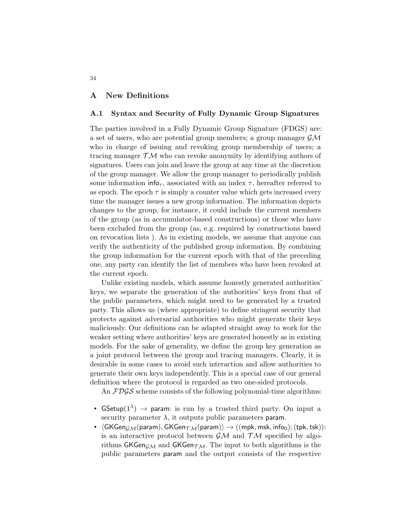## A New Definitions

#### A.1 Syntax and Security of Fully Dynamic Group Signatures

The parties involved in a Fully Dynamic Group Signature (FDGS) are: a set of users, who are potential group members; a group manager  $\mathcal{G}\mathcal{M}$ who in charge of issuing and revoking group membership of users; a tracing manager  $T\mathcal{M}$  who can revoke anonymity by identifying authors of signatures. Users can join and leave the group at any time at the discretion of the group manager. We allow the group manager to periodically publish some information info<sub>τ</sub>, associated with an index  $\tau$ , hereafter referred to as epoch. The epoch  $\tau$  is simply a counter value which gets increased every time the manager issues a new group information. The information depicts changes to the group, for instance, it could include the current members of the group (as in accumulator-based constructions) or those who have been excluded from the group (as, e.g. required by constructions based on revocation lists ). As in existing models, we assume that anyone can verify the authenticity of the published group information. By combining the group information for the current epoch with that of the preceding one, any party can identify the list of members who have been revoked at the current epoch.

Unlike existing models, which assume honestly generated authorities' keys, we separate the generation of the authorities' keys from that of the public parameters, which might need to be generated by a trusted party. This allows us (where appropriate) to define stringent security that protects against adversarial authorities who might generate their keys maliciously. Our definitions can be adapted straight away to work for the weaker setting where authorities' keys are generated honestly as in existing models. For the sake of generality, we define the group key generation as a joint protocol between the group and tracing managers. Clearly, it is desirable in some cases to avoid such interaction and allow authorities to generate their own keys independently. This is a special case of our general definition where the protocol is regarded as two one-sided protocols.

An  $FDGS$  scheme consists of the following polynomial-time algorithms:

- GSetup( $1^{\lambda}$ )  $\rightarrow$  param: is run by a trusted third party. On input a security parameter  $\lambda$ , it outputs public parameters param.
- $\langle GKGen_{GM}(param), GKGen_{TM}(param)\rangle \rightarrow ((mpk, msk, info<sub>0</sub>); (tpk, tsk))$ : is an interactive protocol between  $\mathcal{G}M$  and  $\mathcal{T}M$  specified by algorithms GKGen $_{GM}$  and GKGen $_{TM}$ . The input to both algorithms is the public parameters param and the output consists of the respective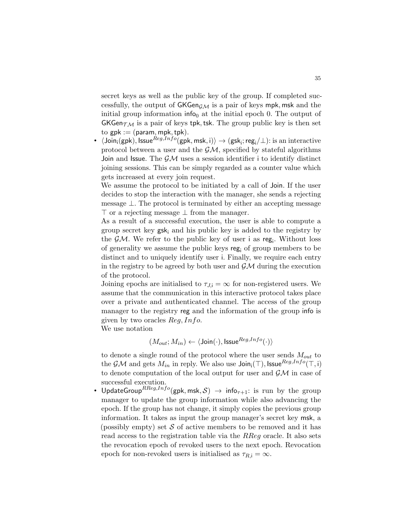secret keys as well as the public key of the group. If completed successfully, the output of  $GKGen_{GM}$  is a pair of keys mpk, msk and the initial group information  $info_0$  at the initial epoch 0. The output of  $GKGen_{TM}$  is a pair of keys tpk, tsk. The group public key is then set to  $gpk := (param, mpk, tpk).$ 

 $\bullet~~\langle {\sf Join}_{\sf i}({\sf gpk}), {\sf Issue}^{Reg,Info}({\sf gpk}, {\sf msk}, {\sf i})\rangle \to ({\sf gsk}_{\sf i};{\sf reg}_{\sf i}/\bot)$ : is an interactive protocol between a user and the  $\mathcal{GM}$ , specified by stateful algorithms Join and Issue. The  $\mathcal{GM}$  uses a session identifier i to identify distinct joining sessions. This can be simply regarded as a counter value which gets increased at every join request.

We assume the protocol to be initiated by a call of Join. If the user decides to stop the interaction with the manager, she sends a rejecting message  $\perp$ . The protocol is terminated by either an accepting message  $\top$  or a rejecting message  $\bot$  from the manager.

As a result of a successful execution, the user is able to compute a group secret key  $\mathsf{g}$ sk<sub>i</sub> and his public key is added to the registry by the  $\mathcal{G}\mathcal{M}$ . We refer to the public key of user i as reg<sub>i</sub>. Without loss of generality we assume the public keys reg<sup>i</sup> of group members to be distinct and to uniquely identify user i. Finally, we require each entry in the registry to be agreed by both user and  $\mathcal{GM}$  during the execution of the protocol.

Joining epochs are initialised to  $\tau_{J,i} = \infty$  for non-registered users. We assume that the communication in this interactive protocol takes place over a private and authenticated channel. The access of the group manager to the registry reg and the information of the group info is given by two oracles Reg, Info.

We use notation

 $(M_{out}; M_{in}) \leftarrow \langle \text{Join}(\cdot), \text{issue}^{Reg,Info}(\cdot) \rangle$ 

to denote a single round of the protocol where the user sends  $M_{out}$  to the  $\mathcal{GM}$  and gets  $M_{in}$  in reply. We also use  $\text{Join}_{i}(\top)$ , Issue $^{Reg,Info}(\top, i)$ to denote computation of the local output for user and  $\mathcal{G}\mathcal{M}$  in case of successful execution.

• UpdateGroup<sup>RReg,Info</sup>(gpk, msk, S)  $\rightarrow$  info<sub> $\tau+1$ </sub>: is run by the group manager to update the group information while also advancing the epoch. If the group has not change, it simply copies the previous group information. It takes as input the group manager's secret key msk, a (possibly empty) set S of active members to be removed and it has read access to the registration table via the RReg oracle. It also sets the revocation epoch of revoked users to the next epoch. Revocation epoch for non-revoked users is initialised as  $\tau_{R,i} = \infty$ .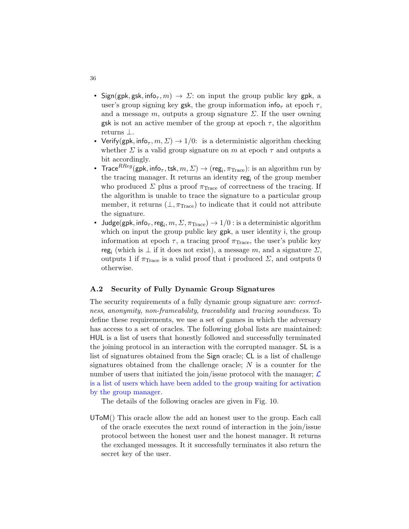- Sign(gpk, gsk, info<sub> $\tau$ </sub>,  $m$ )  $\rightarrow \Sigma$ : on input the group public key gpk, a user's group signing key gsk, the group information info<sub> $\tau$ </sub> at epoch  $\tau$ , and a message m, outputs a group signature  $\Sigma$ . If the user owning gsk is not an active member of the group at epoch  $\tau$ , the algorithm returns ⊥.
- Verify(gpk, info<sub> $\tau$ </sub>,  $m$ ,  $\Sigma$ )  $\rightarrow$  1/0: is a deterministic algorithm checking whether  $\Sigma$  is a valid group signature on m at epoch  $\tau$  and outputs a bit accordingly.
- Trace $^{RReg}$ (gpk, info $_{\tau},$  tsk,  $m, \Sigma) \rightarrow$  (reg<sub>i</sub>,  $\pi_{\text{Trace}}$ ): is an algorithm run by the tracing manager. It returns an identity reg<sub>i</sub> of the group member who produced  $\Sigma$  plus a proof  $\pi_{\text{Trace}}$  of correctness of the tracing. If the algorithm is unable to trace the signature to a particular group member, it returns  $(\perp, \pi_{\text{Trace}})$  to indicate that it could not attribute the signature.
- Judge(gpk, info<sub> $\tau$ </sub>, reg<sub>i</sub>,  $m$ ,  $\Sigma$ ,  $\pi_{\text{Trace}}$ )  $\rightarrow 1/0$  : is a deterministic algorithm which on input the group public key gpk, a user identity i, the group information at epoch  $\tau$ , a tracing proof  $\pi_{\text{Trace}}$ , the user's public key reg<sub>i</sub> (which is  $\perp$  if it does not exist), a message m, and a signature  $\Sigma$ , outputs 1 if  $\pi_{\text{Trace}}$  is a valid proof that i produced  $\Sigma$ , and outputs 0 otherwise.

### A.2 Security of Fully Dynamic Group Signatures

The security requirements of a fully dynamic group signature are: correctness, anonymity, non-frameability, traceability and tracing soundness. To define these requirements, we use a set of games in which the adversary has access to a set of oracles. The following global lists are maintained: HUL is a list of users that honestly followed and successfully terminated the joining protocol in an interaction with the corrupted manager. SL is a list of signatures obtained from the Sign oracle; CL is a list of challenge signatures obtained from the challenge oracle; N is a counter for the number of users that initiated the join/issue protocol with the manager;  $\mathcal{L}$ is a list of users which have been added to the group waiting for activation by the group manager.

The details of the following oracles are given in Fig. 10.

UToM() This oracle allow the add an honest user to the group. Each call of the oracle executes the next round of interaction in the join/issue protocol between the honest user and the honest manager. It returns the exchanged messages. It it successfully terminates it also return the secret key of the user.

36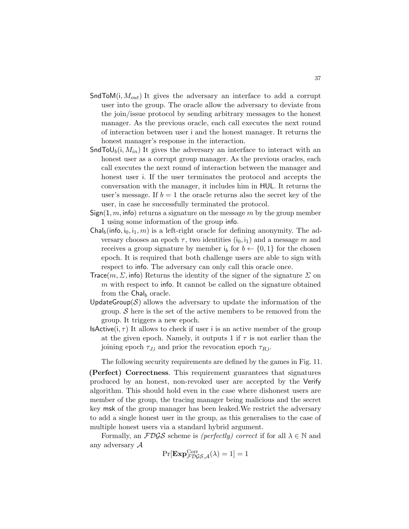- SndToM(i,  $M_{out}$ ) It gives the adversary an interface to add a corrupt user into the group. The oracle allow the adversary to deviate from the join/issue protocol by sending arbitrary messages to the honest manager. As the previous oracle, each call executes the next round of interaction between user i and the honest manager. It returns the honest manager's response in the interaction.
- $\mathsf{SndTol}_b(i, M_{in})$  It gives the adversary an interface to interact with an honest user as a corrupt group manager. As the previous oracles, each call executes the next round of interaction between the manager and honest user i. If the user terminates the protocol and accepts the conversation with the manager, it includes him in HUL. It returns the user's message. If  $b = 1$  the oracle returns also the secret key of the user, in case he successfully terminated the protocol.
- $Sign(1, m, info)$  returns a signature on the message m by the group member 1 using some information of the group info.
- Chal<sub>b</sub>(info, i<sub>0</sub>, i<sub>1</sub>, m) is a left-right oracle for defining anonymity. The adversary chooses an epoch  $\tau$ , two identities  $(i_0, i_1)$  and a message m and receives a group signature by member  $i_b$  for  $b \leftarrow \{0, 1\}$  for the chosen epoch. It is required that both challenge users are able to sign with respect to info. The adversary can only call this oracle once.
- Trace(m,  $\Sigma$ , info) Returns the identity of the signer of the signature  $\Sigma$  on  $m$  with respect to info. It cannot be called on the signature obtained from the  $\textsf{Chal}_b$  oracle.
- UpdateGroup(S) allows the adversary to update the information of the group.  $S$  here is the set of the active members to be removed from the group. It triggers a new epoch.
- $\mathsf{IsActive}(i, \tau)$  It allows to check if user i is an active member of the group at the given epoch. Namely, it outputs 1 if  $\tau$  is not earlier than the joining epoch  $\tau_{J,i}$  and prior the revocation epoch  $\tau_{R,i}$ .

The following security requirements are defined by the games in Fig. 11.

(Perfect) Correctness. This requirement guarantees that signatures produced by an honest, non-revoked user are accepted by the Verify algorithm. This should hold even in the case where dishonest users are member of the group, the tracing manager being malicious and the secret key msk of the group manager has been leaked.We restrict the adversary to add a single honest user in the group, as this generalises to the case of multiple honest users via a standard hybrid argument.

Formally, an  $FDGS$  scheme is *(perfectly) correct* if for all  $\lambda \in \mathbb{N}$  and any adversary A

 $Pr[\mathbf{Exp}_{\mathcal{FDS},\mathcal{A}}^{\text{Corr}}(\lambda)=1]=1$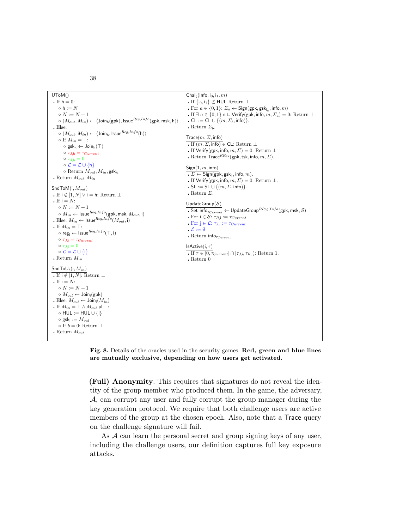38

UToM() If  $h = 0$ :  $\circ$  h := N  $\circ N := N + 1$  $\phi \colon (M_{out}, M_{in}) \leftarrow \langle \mathsf{Join}_{\mathsf{h}}(\mathsf{gpk}), \mathsf{issue}^{Reg,Info}(\mathsf{gpk}, \mathsf{msk}, \mathsf{h}) \rangle$  Else:  $\circ~(M_{out}, M_{in}) \leftarrow \langle {\sf Join}_{\sf h}, {\sf Issue}^{Reg,Info}(\sf h)\rangle$  $\circ$  If  $M_{in} = \top$ :  $\circ$  gsk<sub>h</sub>  $\leftarrow$  Join<sub>h</sub> $(\top)$  $\circ \tau_{J,h} = \tau_{Current}$  $\circ \tau_{J,h} = 0$  $\circ \mathcal{L} = \mathcal{L} \cup \{h\}$ o Return $M_{out}, M_{in}, \mathsf{gsk}_\mathsf{h}$ Return  $M_{out}$ ,  $M_{in}$  $SndToM(i, M_{out})$  $\overline{\phantom{a}}$  If i ∉  $[1, N]$   $\vee$  i = h: Return ⊥ . If  $i = N$ :  $\circ N := N + 1$  $\circ M_{in} \leftarrow \textsf{issue}^{Reg,Info}(\textsf{gpk}, \textsf{msk}, M_{out}, i)$ **Else:**  $M_{in}$  ← **Issue**<sup>Reg,Info</sup>( $M_{out}$ ,i) . If  $M_{in} = \top$ :  $\circ$  reg<sub>i</sub>  $\leftarrow$  Issue<sup>Reg,Info</sup>( $\top$ , i)  $\circ \tau_{J,\mathsf{i}} = \tau_{Current}$  $\circ \tau_{J,\mathrm{i}} = 0$  $\circ$   $\mathcal{L} = \mathcal{L} \cup \{i\}$ . Return  $M_{in}$  $SndToU_b(i, M_{in})$ **If i** ∉ [1, N]: Return ⊥ . If  $i = N$ :  $\circ N := N + 1$  $\circ M_{out} \leftarrow \text{Join}_{i}(\text{gpk})$ **Else:**  $M_{out}$  ← Join<sub>i</sub> $(M_{in})$ **If**  $M_{in} = ⊤ \land M_{out} \neq \bot$ : ◦ HUL := HUL ∪ {i}  $\circ$  gsk<sub>i</sub> :=  $M_{out}$  $\circ$  If  $b = 0$ : Return  $\top$ Return  $M_{out}$  $\textsf{Chal}_b(\textsf{info}, \mathsf{i}_0, \mathsf{i}_1, m)$ **If**  $\{i_0, i_1\}$  ⊄ HUL Return ⊥. For  $a \in \{0, 1\}$ :  $\Sigma_a \leftarrow$  Sign(gpk, gsk<sub>i<sub>a</sub></sub>, info, m) If ∃ a ∈ {0, 1} s.t. Verify(gpk, info,  $m, \Sigma_a$ ) = 0: Return ⊥ • CL := CL ∪ { $(m, \Sigma_b, \text{info})$ }. **.** Return  $\Sigma_b$ .  $Trace(m, \Sigma, \text{info})$ If  $(m, Σ, \text{info})$  ∈ CL: Return ⊥ If Verify(gpk, info,  $m, Σ$ ) = 0: Return ⊥ Return Trace<sup>RReg</sup>(gpk, tsk, info,  $m, \Sigma$ ).  $Sign(1, m, info)$  $\overline{\Sigma \leftarrow$  Sign(gpk, gsk<sub>1</sub>, info, m). If Verify(gpk, info,  $m, \Sigma$ ) = 0: Return ⊥.  $\mathsf{SL} := \mathsf{SL} \cup \{ (m, \Sigma, \mathsf{info}) \}.$  $R$ eturn  $\Sigma$ . UpdateGroup $(S)$  $\overline{\rule{0pt}{3mm}\raisebox{0pt}{.} \text{Set inf} \sigma_{\scriptscriptstyle\mathit{fCurrent}}} \leftarrow \mathsf{UpdateGroup}^{RReg,Info}(\mathsf{gpk},\mathsf{msk},\mathcal{S})$ **For**  $i \in \mathcal{S}$ :  $\tau_{R,i} := \tau_{Current}$ For  $j \in \mathcal{L}: \tau_{J,j} := \tau_{Current}$  $\mathcal{L} := \emptyset$ Return info $\tau_{Current}$ IsActive $(i, \tau)$ **If**  $\tau \in [0, \tau_{Current}] \cap [\tau_{J,i}, \tau_{R,i})$ : Return 1. Return 0



(Full) Anonymity. This requires that signatures do not reveal the identity of the group member who produced them. In the game, the adversary, A, can corrupt any user and fully corrupt the group manager during the key generation protocol. We require that both challenge users are active members of the group at the chosen epoch. Also, note that a Trace query on the challenge signature will fail.

As A can learn the personal secret and group signing keys of any user, including the challenge users, our definition captures full key exposure attacks.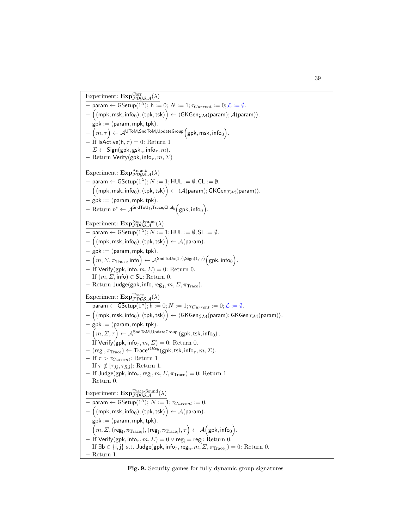Experiment:  $\mathbf{Exp}^{\mathrm{Corr}}_{\mathcal{F}D\mathcal{GS},\mathcal{A}}(\lambda)$  $\overline{\phantom{ii}}$   $-$  param  $\leftarrow$  GSetup $(1^{\lambda});$   $\mathsf{h}:=0;$   $N:=1;$   $\tau_{Current}:=0;$   $\mathcal{L}:=\emptyset.$  $-\left((\mathsf{mpk},\mathsf{msk},\mathsf{info}_0);(\mathsf{tpk},\mathsf{tsk})\right) \leftarrow \langle \mathsf{GKGen}_{\mathcal{GM}}(\mathsf{param}); \mathcal{A}(\mathsf{param})\rangle.$  $-$  gpk := (param, mpk, tpk).  $\mathcal{L} = \Big( m, \tau \Big) \leftarrow \mathcal{A}^{\text{\textup{UToM}}, \text{\textup{SndToM}}, \text{\textup{UpdateGroup}}\Big( \textsf{gpk}, \textsf{msk}, \textsf{info}_0 \Big).$  $-$  If IsActive(h,  $\tau$ ) = 0: Return 1  $- \Sigma \leftarrow$  Sign(gpk, gsk<sub>h</sub>, info<sub> $\tau$ </sub>, m).  $-$  Return Verify(gpk, info<sub> $\tau$ </sub>,  $m$ ,  $\Sigma$ ) Experiment:  $\text{Exp}_{\mathcal{F}D\mathcal{GS},\mathcal{A}}^{\text{Anon-}b}(\lambda)$  $\overline{\phantom{h}}$  – param  $\leftarrow$  GSetup $(1^{\lambda}); N := 1;$  HUL  $:= \emptyset;$  CL  $:= \emptyset$ .  $-\left((\mathsf{mpk},\mathsf{msk},\mathsf{info}_0);(\mathsf{tpk},\mathsf{tsk})\right) \leftarrow \langle \mathcal{A}(\mathsf{param}); \mathsf{GKGen}_{\mathcal{TM}}(\mathsf{param})\rangle.$  $-$  gpk := (param, mpk, tpk).  $-$  Return  $b^*$  ← A<sup>SndToU<sub>1</sub>,Trace,Chal<sub>b</sub>  $(gpk, info_0)$ .</sup> Experiment:  $\text{Exp}_{\mathcal{F} \mathcal{D} \mathcal{G} \mathcal{S}, \mathcal{A}}^{\text{Non-Frame}}(\lambda)$  $\overline{\phantom{A}}$   $-$  param  $\leftarrow$  GSetup $(1^{\lambda}); N := 1;$  HUL  $:= \emptyset;$  SL  $:= \emptyset$ .  $-\Big((\mathsf{mpk},\mathsf{msk},\mathsf{info}_0);(\mathsf{tpk},\mathsf{tsk})\Big) \leftarrow \mathcal{A}(\mathsf{param}).$  $-$  gpk := (param, mpk, tpk).  $- \left(m,\Sigma,\pi_{\text{Trace}},\textsf{info}\right) \leftarrow \mathcal{A}^{\textsf{SndTol}_0(1,\cdot),\textsf{Sign}(1,\cdot,\cdot)}\Big(\textsf{gpk},\textsf{info}_0\Big).$  $-$  If Verify(gpk, info,  $m, \Sigma$ ) = 0: Return 0.  $-$  If  $(m, \Sigma, \text{info}) \in$  SL: Return 0.  $-$  Return Judge(gpk, info, reg<sub>1</sub>,  $m$ ,  $\Sigma$ ,  $\pi_{\text{Trace}}$ ). Experiment:  $\mathbf{Exp}^{\text{Trace}}_{\mathcal{F}D\mathcal{GS},\mathcal{A}}(\lambda)$  $\overline{\phantom{ii}}$   $-$  param  $\leftarrow$   $\mathsf{GSetup}(1^{\lambda});$   $\mathsf{h}:=0;$   $N:=1;$   $\tau_{Current}:=0;$   $\mathcal{L}:=\emptyset.$  $-\left((\mathsf{mpk},\mathsf{msk},\mathsf{info}_0);(\mathsf{tpk},\mathsf{tsk})\right) \leftarrow \langle \mathsf{GKGen}_{\mathcal{G}\mathcal{M}}(\mathsf{param});\mathsf{GKGen}_{\mathcal{TM}}(\mathsf{param})\rangle.$  $-$  gpk := (param, mpk, tpk).  $\mathcal{L} = \left( m, \mathit{\Sigma}, \tau \right) \leftarrow \mathcal{A}^{\mathsf{SndToM},\mathsf{UpdateGroup}}\left(\mathsf{gpk},\mathsf{tsk},\mathsf{info}_{0} \right).$  $-\hat{I}$  Verify(gpk, info<sub> $\tau$ </sub>,  $m$ ,  $\Sigma$ ) = 0: Return 0.  $-$  (reg<sub>i</sub>,  $\pi_{\text{Trace}}$ ) ← Trace<sup>RReg</sup>(gpk, tsk, info<sub> $\tau$ </sub>,  $m$ ,  $\Sigma$ ).  $−$  If  $τ > τ<sub>Current</sub>: Return 1$ − If  $\tau \notin [\tau_{J,i}, \tau_{R,i})$ : Return 1.  $−$  If Judge(gpk, info<sub>τ</sub>, reg<sub>i</sub>,  $m$ ,  $Σ$ ,  $π$ <sub>Trace</sub>) = 0: Return 1 − Return 0. Experiment:  $\mathbf{Exp}^{\text{Trace-Sound}}_{\mathcal{F}\mathcal{D}\mathcal{GS},\mathcal{A}}(\lambda)$  $\overline{\phantom{h}}$   $-$  param  $\leftarrow$  GSetup $(1^{\lambda});\,N:=\overline{1};\tau_{Current}:=0.$  $-\Big((\mathsf{mpk},\mathsf{msk},\mathsf{info}_0);(\mathsf{tpk},\mathsf{tsk})\Big) \leftarrow \mathcal{A}(\mathsf{param}).$  $-$  gpk := (param, mpk, tpk).  $-\left(m,\Sigma,(\text{reg}_\text{i},\pi_{\text{Trace}_\text{i}}),(\text{reg}_\text{j},\pi_{\text{Trace}_\text{j}}),\tau\right)\gets\mathcal{A}\Big(\text{gpk},\text{info}_0\Big).$  $-$  If Verify(gpk, info<sub>τ</sub>, *m*, *Σ*) = 0 ∨ reg<sub>i</sub> = reg<sub>j</sub>: Return 0.  $−$  If  $\exists$ b ∈ {i, j} s.t. Judge(gpk, info<sub>τ</sub>, reg<sub>b</sub>,  $m, \Sigma, \pi_{\text{Trace}_b}$ ) = 0: Return 0. − Return 1.

Fig. 9. Security games for fully dynamic group signatures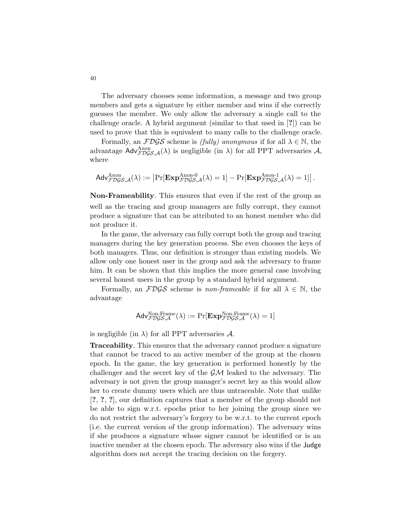The adversary chooses some information, a message and two group members and gets a signature by either member and wins if she correctly guesses the member. We only allow the adversary a single call to the challenge oracle. A hybrid argument (similar to that used in [?]) can be used to prove that this is equivalent to many calls to the challenge oracle.

Formally, an  $FDSS$  scheme is (fully) anonymous if for all  $\lambda \in \mathbb{N}$ , the advantage  $\mathsf{Adv}^{\text{Anon}}_{\mathcal{FDGS},\mathcal{A}}(\lambda)$  is negligible (in  $\lambda$ ) for all PPT adversaries  $\mathcal{A},$ where

$$
\mathsf{Adv}_{\mathcal{FDS},\mathcal{A}}^{\mathrm{Anon}}(\lambda) := \left|\Pr[\mathbf{Exp}_{\mathcal{FDS},\mathcal{A}}^{\mathrm{Anon-0}}(\lambda) = 1] - \Pr[\mathbf{Exp}_{\mathcal{FDS},\mathcal{A}}^{\mathrm{Anon-1}}(\lambda) = 1]\right|.
$$

Non-Frameability. This ensures that even if the rest of the group as well as the tracing and group managers are fully corrupt, they cannot produce a signature that can be attributed to an honest member who did not produce it.

In the game, the adversary can fully corrupt both the group and tracing managers during the key generation process. She even chooses the keys of both managers. Thus, our definition is stronger than existing models. We allow only one honest user in the group and ask the adversary to frame him. It can be shown that this implies the more general case involving several honest users in the group by a standard hybrid argument.

Formally, an  $FDGS$  scheme is non-frameable if for all  $\lambda \in \mathbb{N}$ , the advantage

$$
\mathsf{Adv}_{\mathcal{FDGS},\mathcal{A}}^{\mathrm{Non-Frame}}(\lambda) := \Pr[\mathbf{Exp}_{\mathcal{FDGS},\mathcal{A}}^{\mathrm{Non-Frame}}(\lambda) = 1]
$$

is negligible (in  $\lambda$ ) for all PPT adversaries A.

Traceability. This ensures that the adversary cannot produce a signature that cannot be traced to an active member of the group at the chosen epoch. In the game, the key generation is performed honestly by the challenger and the secret key of the  $\mathcal{G}M$  leaked to the adversary. The adversary is not given the group manager's secret key as this would allow her to create dummy users which are thus untraceable. Note that unlike [?, ?, ?], our definition captures that a member of the group should not be able to sign w.r.t. epochs prior to her joining the group since we do not restrict the adversary's forgery to be w.r.t. to the current epoch (i.e. the current version of the group information). The adversary wins if she produces a signature whose signer cannot be identified or is an inactive member at the chosen epoch. The adversary also wins if the Judge algorithm does not accept the tracing decision on the forgery.

40